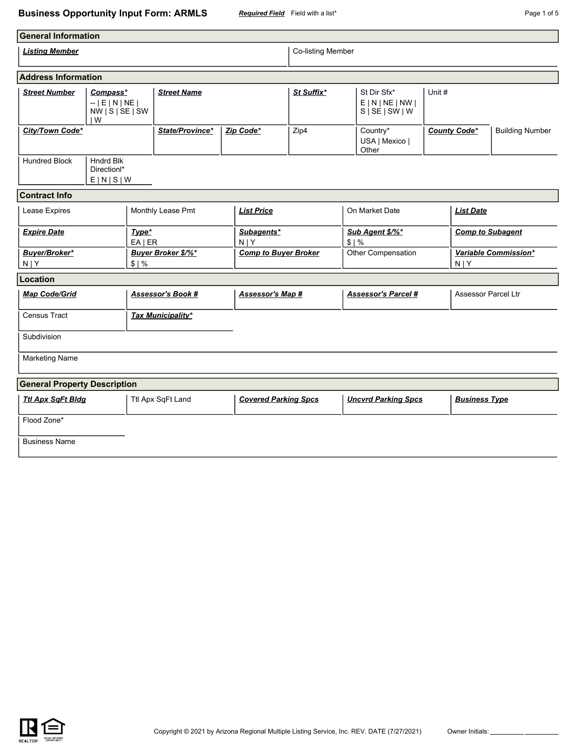## **Business Opportunity Input Form: ARMLS** *Required Field* Field with a list\* **Page 1 of 5** Page 1 of 5

| <b>General Information</b>           |                                                          |  |                           |                       |                             |                   |                         |                                                                   |                         |                                 |                        |  |  |
|--------------------------------------|----------------------------------------------------------|--|---------------------------|-----------------------|-----------------------------|-------------------|-------------------------|-------------------------------------------------------------------|-------------------------|---------------------------------|------------------------|--|--|
| <b>Listing Member</b>                |                                                          |  |                           |                       |                             | Co-listing Member |                         |                                                                   |                         |                                 |                        |  |  |
| <b>Address Information</b>           |                                                          |  |                           |                       |                             |                   |                         |                                                                   |                         |                                 |                        |  |  |
| <b>Street Number</b>                 | Compass*<br>$-$   E   N   NE  <br>NW   S   SE   SW<br>IW |  | <b>Street Name</b>        |                       |                             | St Suffix*        |                         | St Dir Sfx*<br>Unit #<br>E N NE NW <br>$S \mid SE \mid SW \mid W$ |                         |                                 |                        |  |  |
| City/Town Code*                      |                                                          |  | State/Province*           | Zip Code*             |                             | Zip4              |                         | Country*<br>USA   Mexico  <br>Other                               | <b>County Code*</b>     |                                 | <b>Building Number</b> |  |  |
| <b>Hundred Block</b>                 | <b>Hndrd Blk</b><br>Directionl*<br>E[N S W               |  |                           |                       |                             |                   |                         |                                                                   |                         |                                 |                        |  |  |
| <b>Contract Info</b>                 |                                                          |  |                           |                       |                             |                   |                         |                                                                   |                         |                                 |                        |  |  |
| Lease Expires                        |                                                          |  | Monthly Lease Pmt         |                       | <b>List Price</b>           |                   | On Market Date          |                                                                   | <b>List Date</b>        |                                 |                        |  |  |
| <b>Expire Date</b><br>Type*<br>EAIER |                                                          |  |                           | Subagents*<br>$N$   Y |                             |                   | Sub Agent \$/%*<br>\$1% |                                                                   | <b>Comp to Subagent</b> |                                 |                        |  |  |
| Buyer/Broker*<br>$N$   Y<br>\$1%     |                                                          |  | <b>Buyer Broker \$/%*</b> |                       | <b>Comp to Buyer Broker</b> |                   |                         | Other Compensation                                                |                         | Variable Commission*<br>$N$   Y |                        |  |  |
| Location                             |                                                          |  |                           |                       |                             |                   |                         |                                                                   |                         |                                 |                        |  |  |
| <b>Map Code/Grid</b>                 |                                                          |  | <b>Assessor's Book #</b>  |                       | <b>Assessor's Map #</b>     |                   |                         | <b>Assessor's Parcel#</b>                                         |                         | <b>Assessor Parcel Ltr</b>      |                        |  |  |
| <b>Census Tract</b>                  |                                                          |  | <b>Tax Municipality*</b>  |                       |                             |                   |                         |                                                                   |                         |                                 |                        |  |  |
| Subdivision                          |                                                          |  |                           |                       |                             |                   |                         |                                                                   |                         |                                 |                        |  |  |
| <b>Marketing Name</b>                |                                                          |  |                           |                       |                             |                   |                         |                                                                   |                         |                                 |                        |  |  |
| <b>General Property Description</b>  |                                                          |  |                           |                       |                             |                   |                         |                                                                   |                         |                                 |                        |  |  |
| <b>Ttl Apx SqFt Bldg</b>             |                                                          |  | Ttl Apx SqFt Land         |                       | <b>Covered Parking Spcs</b> |                   |                         | <b>Uncvrd Parking Spcs</b>                                        |                         | <b>Business Type</b>            |                        |  |  |
| Flood Zone*                          |                                                          |  |                           |                       |                             |                   |                         |                                                                   |                         |                                 |                        |  |  |
| <b>Business Name</b>                 |                                                          |  |                           |                       |                             |                   |                         |                                                                   |                         |                                 |                        |  |  |

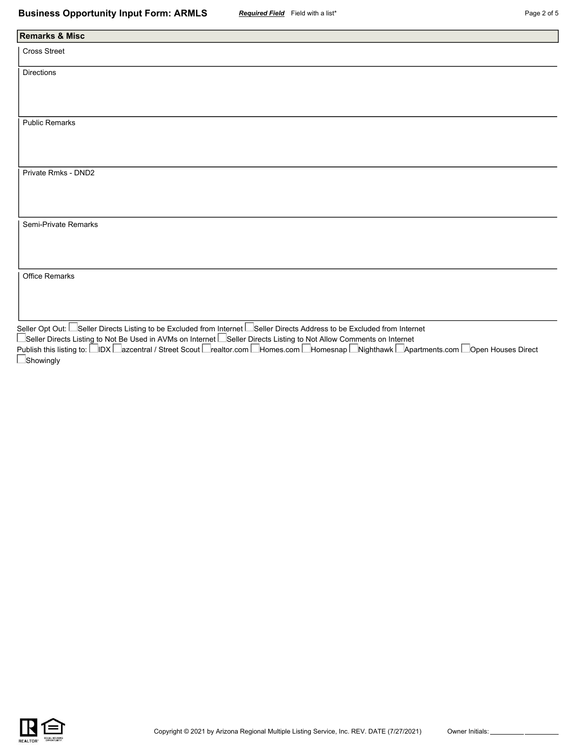| <b>Remarks &amp; Misc</b> |  |  |
|---------------------------|--|--|
| Cross Street              |  |  |
| Directions                |  |  |
|                           |  |  |
|                           |  |  |
| <b>Public Remarks</b>     |  |  |
|                           |  |  |
|                           |  |  |
| Private Rmks - DND2       |  |  |
|                           |  |  |
|                           |  |  |
| Semi-Private Remarks      |  |  |
|                           |  |  |
|                           |  |  |
| Office Remarks            |  |  |
|                           |  |  |
|                           |  |  |
|                           |  |  |

Seller Opt Out: La Seller Directs Listing to be Excluded from Internet La Seller Directs Address to be Excluded from Internet ■Seller Directs Listing to Not Be Used in AVMs on Internet ■Seller Directs Listing to Not Allow Comments on Internet Publish this listing to: IDX Iazcentral / Street Scout Irealtor.com IHomes.com IHomesnap INighthawk IApartments.com IOpen Houses Direct **Showingly** 

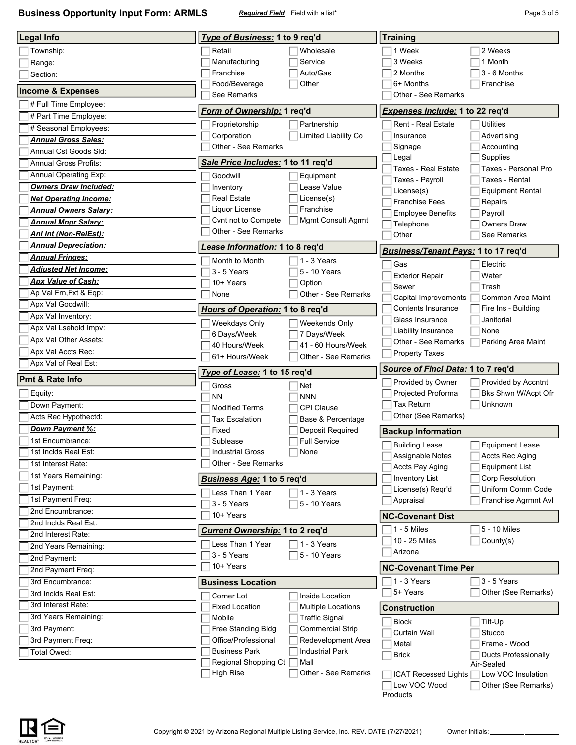**Business Opportunity Input Form: ARMLS** *Required Field* Field with a list\* **Page 3 of 5** Page 3 of 5

| <b>Legal Info</b>                                   | Type of Business: 1 to 9 req'd                                               | <b>Training</b>                                                            |  |  |  |  |  |  |  |
|-----------------------------------------------------|------------------------------------------------------------------------------|----------------------------------------------------------------------------|--|--|--|--|--|--|--|
| Township:                                           | Retail<br>Wholesale                                                          | 1 Week<br>2 Weeks                                                          |  |  |  |  |  |  |  |
| Range:                                              | Manufacturing<br>Service                                                     | 3 Weeks<br>1 Month                                                         |  |  |  |  |  |  |  |
| Section:                                            | Franchise<br>Auto/Gas                                                        | 3 - 6 Months<br>2 Months                                                   |  |  |  |  |  |  |  |
|                                                     | Food/Beverage<br>Other                                                       | 6+ Months<br>Franchise                                                     |  |  |  |  |  |  |  |
| <b>Income &amp; Expenses</b>                        | See Remarks                                                                  | Other - See Remarks                                                        |  |  |  |  |  |  |  |
| # Full Time Employee:                               | Form of Ownership: 1 req'd                                                   | <b>Expenses Include: 1 to 22 req'd</b>                                     |  |  |  |  |  |  |  |
| # Part Time Employee:                               | Partnership<br>Proprietorship                                                | <b>Rent - Real Estate</b><br><b>Utilities</b>                              |  |  |  |  |  |  |  |
| # Seasonal Employees:                               | Limited Liability Co<br>Corporation                                          | Insurance<br>Advertising                                                   |  |  |  |  |  |  |  |
| <b>Annual Gross Sales:</b><br>Annual Cst Goods Sld: | Other - See Remarks                                                          | Accounting<br>Signage                                                      |  |  |  |  |  |  |  |
| <b>Annual Gross Profits:</b>                        | Sale Price Includes: 1 to 11 req'd                                           | Supplies<br>Legal                                                          |  |  |  |  |  |  |  |
| Annual Operating Exp:                               |                                                                              | Taxes - Real Estate<br>Taxes - Personal Pro                                |  |  |  |  |  |  |  |
| Owners Draw Included:                               | Goodwill<br>Equipment<br>Lease Value<br>Inventory                            | <b>Taxes - Rental</b><br>Taxes - Payroll                                   |  |  |  |  |  |  |  |
| <b>Net Operating Income:</b>                        | <b>Real Estate</b><br>License(s)                                             | License(s)<br><b>Equipment Rental</b>                                      |  |  |  |  |  |  |  |
| <b>Annual Owners Salary:</b>                        | Liquor License<br>Franchise                                                  | <b>Franchise Fees</b><br>Repairs                                           |  |  |  |  |  |  |  |
| <b>Annual Mngr Salary:</b>                          | Cvnt not to Compete<br>Mgmt Consult Agrmt                                    | <b>Employee Benefits</b><br>Payroll                                        |  |  |  |  |  |  |  |
| Ani Int (Non-RelEst):                               | Other - See Remarks                                                          | Telephone<br><b>Owners Draw</b><br>Other<br>See Remarks                    |  |  |  |  |  |  |  |
| <b>Annual Depreciation:</b>                         | ease Information: 1 to 8 req'd.                                              |                                                                            |  |  |  |  |  |  |  |
| <b>Annual Fringes:</b>                              | Month to Month<br>1 - 3 Years                                                | Business/Tenant Pays: 1 to 17 req'd                                        |  |  |  |  |  |  |  |
| <b>Adjusted Net Income:</b>                         | 3 - 5 Years<br>5 - 10 Years                                                  | Gas<br>Electric                                                            |  |  |  |  |  |  |  |
| <b>Apx Value of Cash:</b>                           | 10+ Years<br>Option                                                          | <b>Exterior Repair</b><br>Water                                            |  |  |  |  |  |  |  |
| Ap Val Frn, Fxt & Eqp:                              | Other - See Remarks<br>None                                                  | Sewer<br>Trash                                                             |  |  |  |  |  |  |  |
| Apx Val Goodwill:                                   |                                                                              | Capital Improvements<br>Common Area Maint                                  |  |  |  |  |  |  |  |
| Apx Val Inventory:                                  | Hours of Operation: 1 to 8 req'd                                             | Contents Insurance<br>Fire Ins - Building<br>Glass Insurance<br>Janitorial |  |  |  |  |  |  |  |
| Apx Val Lsehold Impv:                               | Weekdays Only<br>Weekends Only                                               | Liability Insurance<br>None                                                |  |  |  |  |  |  |  |
| Apx Val Other Assets:                               | 6 Days/Week<br>7 Days/Week                                                   | Other - See Remarks<br>Parking Area Maint                                  |  |  |  |  |  |  |  |
| Apx Val Accts Rec:                                  | 41 - 60 Hours/Week<br>40 Hours/Week<br>Other - See Remarks<br>61+ Hours/Week | <b>Property Taxes</b>                                                      |  |  |  |  |  |  |  |
|                                                     |                                                                              |                                                                            |  |  |  |  |  |  |  |
| Apx Val of Real Est:                                |                                                                              |                                                                            |  |  |  |  |  |  |  |
| <b>Pmt &amp; Rate Info</b>                          | Type of Lease: 1 to 15 req'd                                                 | Source of Fincl Data: 1 to 7 req'd                                         |  |  |  |  |  |  |  |
|                                                     | Gross<br>Net                                                                 | Provided by Owner<br>Provided by Accntnt                                   |  |  |  |  |  |  |  |
| Equity:<br>Down Payment:                            | <b>NN</b><br><b>NNN</b>                                                      | Bks Shwn W/Acpt Ofr<br>Projected Proforma<br>Tax Return<br>Unknown         |  |  |  |  |  |  |  |
| Acts Rec Hypothectd:                                | <b>Modified Terms</b><br>CPI Clause                                          | Other (See Remarks)                                                        |  |  |  |  |  |  |  |
| Down Payment %:                                     | <b>Tax Escalation</b><br>Base & Percentage<br>Fixed                          |                                                                            |  |  |  |  |  |  |  |
| 1st Encumbrance:                                    | Deposit Required<br><b>Full Service</b><br>Sublease                          | <b>Backup Information</b>                                                  |  |  |  |  |  |  |  |
| 1st Inclds Real Est:                                | <b>Industrial Gross</b><br>None                                              | <b>Building Lease</b><br><b>Equipment Lease</b>                            |  |  |  |  |  |  |  |
| 1st Interest Rate:                                  | Other - See Remarks                                                          | Assignable Notes<br>Accts Rec Aging<br><b>Equipment List</b>               |  |  |  |  |  |  |  |
| 1st Years Remaining:                                |                                                                              | Accts Pay Aging<br><b>Inventory List</b><br>Corp Resolution                |  |  |  |  |  |  |  |
| 1st Payment:                                        | <b>Business Age: 1 to 5 req'd</b>                                            | License(s) Reqr'd<br>Uniform Comm Code                                     |  |  |  |  |  |  |  |
| 1st Payment Freq:                                   | Less Than 1 Year<br>$\neg$ 1 - 3 Years<br>3 - 5 Years<br>5 - 10 Years        | Appraisal<br>Franchise Agrmnt Avl                                          |  |  |  |  |  |  |  |
| 2nd Encumbrance:                                    | 10+ Years                                                                    |                                                                            |  |  |  |  |  |  |  |
| 2nd Inclds Real Est:                                |                                                                              | <b>NC-Covenant Dist</b>                                                    |  |  |  |  |  |  |  |
| 2nd Interest Rate:                                  | Current Ownership: 1 to 2 req'd                                              | $1 - 5$ Miles<br>5 - 10 Miles<br>10 - 25 Miles<br>County(s)                |  |  |  |  |  |  |  |
| 2nd Years Remaining:                                | Less Than 1 Year<br>1 - 3 Years                                              | Arizona                                                                    |  |  |  |  |  |  |  |
| 2nd Payment:                                        | 5 - 10 Years<br>3 - 5 Years                                                  |                                                                            |  |  |  |  |  |  |  |
| 2nd Payment Freq:                                   | 10+ Years                                                                    | <b>NC-Covenant Time Per</b>                                                |  |  |  |  |  |  |  |
| 3rd Encumbrance:                                    | <b>Business Location</b>                                                     | 1 - 3 Years<br>3 - 5 Years                                                 |  |  |  |  |  |  |  |
| 3rd Inclds Real Est:                                | Inside Location<br>Corner Lot                                                | 5+ Years<br>Other (See Remarks)                                            |  |  |  |  |  |  |  |
| 3rd Interest Rate:                                  | <b>Fixed Location</b><br>Multiple Locations                                  | <b>Construction</b>                                                        |  |  |  |  |  |  |  |
| 3rd Years Remaining:                                | Mobile<br><b>Traffic Signal</b>                                              | <b>Block</b><br>Tilt-Up                                                    |  |  |  |  |  |  |  |
| 3rd Payment:                                        | Free Standing Bldg<br><b>Commercial Strip</b>                                | Curtain Wall<br>Stucco                                                     |  |  |  |  |  |  |  |
| 3rd Payment Freq:                                   | Office/Professional<br>Redevelopment Area                                    | Frame - Wood<br>Metal                                                      |  |  |  |  |  |  |  |
| Total Owed:                                         | <b>Business Park</b><br><b>Industrial Park</b><br>Mall                       | <b>Brick</b><br><b>Ducts Professionally</b>                                |  |  |  |  |  |  |  |
|                                                     | Regional Shopping Ct<br><b>High Rise</b><br>Other - See Remarks              | Air-Sealed<br>Low VOC Insulation<br>ICAT Recessed Lights                   |  |  |  |  |  |  |  |



Products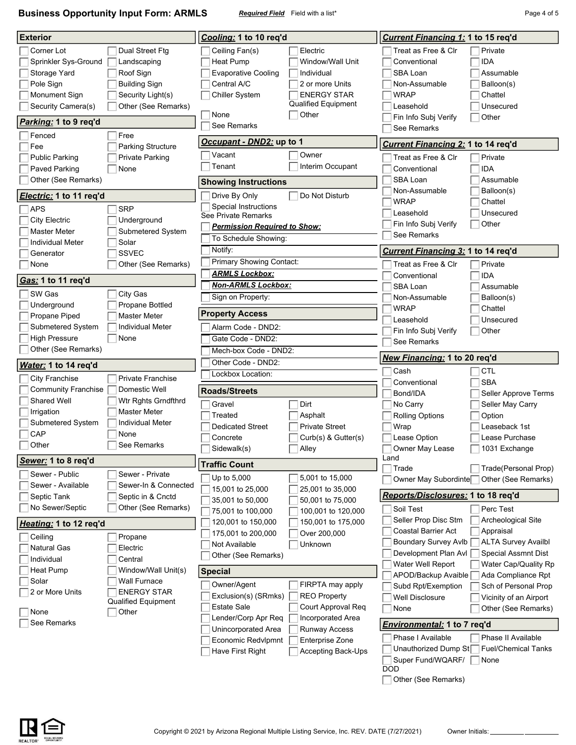**Business Opportunity Input Form: ARMLS** *Required Field* Field with a list\* **Page 1 of 5** Page 4 of 5

| <b>Exterior</b>            |                                           | Cooling: 1 to 10 req'd                                                          | <b>Current Financing 1: 1 to 15 req'd</b>                         |
|----------------------------|-------------------------------------------|---------------------------------------------------------------------------------|-------------------------------------------------------------------|
| Corner Lot                 | Dual Street Ftg                           | Electric<br>Ceiling Fan(s)                                                      | Treat as Free & Clr<br>Private                                    |
| Sprinkler Sys-Ground       | Landscaping                               | Heat Pump<br>Window/Wall Unit                                                   | <b>IDA</b><br>Conventional                                        |
| Storage Yard               | Roof Sign                                 | <b>Evaporative Cooling</b><br>Individual                                        | SBA Loan<br>Assumable                                             |
| Pole Sign                  | <b>Building Sign</b>                      | Central A/C<br>2 or more Units                                                  | Non-Assumable<br>Balloon(s)                                       |
| Monument Sign              | Security Light(s)                         | <b>ENERGY STAR</b><br><b>Chiller System</b>                                     | <b>WRAP</b><br>Chattel                                            |
| Security Camera(s)         | Other (See Remarks)                       | <b>Qualified Equipment</b>                                                      | Leasehold<br>Unsecured                                            |
|                            |                                           | None<br>Other                                                                   | Fin Info Subj Verify<br>Other                                     |
| Parking: 1 to 9 req'd      |                                           | See Remarks                                                                     | See Remarks                                                       |
| Fenced<br>Fee              | Free<br><b>Parking Structure</b>          | Occupant - DND2: up to 1                                                        | Current Financing 2: 1 to 14 req'd                                |
| <b>Public Parking</b>      | <b>Private Parking</b>                    | Vacant<br>Owner                                                                 | Treat as Free & Clr<br>Private                                    |
| Paved Parking              | None                                      | Tenant<br>Interim Occupant                                                      | <b>IDA</b><br>Conventional                                        |
| Other (See Remarks)        |                                           | <b>Showing Instructions</b>                                                     | SBA Loan<br>Assumable                                             |
| Electric: 1 to 11 req'd    |                                           | Drive By Only<br>Do Not Disturb                                                 | Non-Assumable<br>Balloon(s)                                       |
| <b>APS</b>                 | <b>SRP</b>                                | Special Instructions                                                            | <b>WRAP</b><br>Chattel                                            |
| <b>City Electric</b>       | Underground                               | See Private Remarks                                                             | Leasehold<br>Unsecured                                            |
| Master Meter               | Submetered System                         | <u> Permission Required to Show:</u>                                            | Fin Info Subj Verify<br>Other                                     |
| <b>Individual Meter</b>    | Solar                                     | To Schedule Showing:                                                            | See Remarks                                                       |
| Generator                  | <b>SSVEC</b>                              | Notify:                                                                         | <b>Current Financing 3: 1 to 14 req'd</b>                         |
| None                       | Other (See Remarks)                       | <b>Primary Showing Contact:</b>                                                 | Treat as Free & Clr<br>Private                                    |
|                            |                                           | <b>ARMLS Lockbox:</b>                                                           | <b>IDA</b><br>Conventional                                        |
| Gas: 1 to 11 req'd         |                                           | <b>Non-ARMLS Lockbox:</b>                                                       | SBA Loan<br>Assumable                                             |
| SW Gas                     | City Gas                                  | Sign on Property:                                                               | Non-Assumable<br>Balloon(s)                                       |
| Underground                | Propane Bottled                           |                                                                                 | <b>WRAP</b><br>Chattel                                            |
| Propane Piped              | <b>Master Meter</b>                       | <b>Property Access</b>                                                          | Leasehold<br>Unsecured                                            |
| Submetered System          | <b>Individual Meter</b>                   | Alarm Code - DND2:                                                              | Fin Info Subj Verify<br>Other                                     |
| <b>High Pressure</b>       | None                                      | Gate Code - DND2:                                                               | See Remarks                                                       |
|                            |                                           |                                                                                 |                                                                   |
| Other (See Remarks)        |                                           | Mech-box Code - DND2:                                                           | New Financing: 1 to 20 req'd                                      |
| Water: 1 to 14 req'd       |                                           | Other Code - DND2:                                                              | Cash<br><b>CTL</b>                                                |
| <b>City Franchise</b>      | <b>Private Franchise</b>                  | Lockbox Location:                                                               | <b>SBA</b><br>Conventional                                        |
| <b>Community Franchise</b> | Domestic Well                             | <b>Roads/Streets</b>                                                            | Bond/IDA<br>Seller Approve Terms                                  |
| <b>Shared Well</b>         | Wtr Rghts Grndfthrd                       | Dirt<br>Gravel                                                                  | Seller May Carry<br>No Carry                                      |
| Irrigation                 | <b>Master Meter</b>                       | Treated<br>Asphalt                                                              | <b>Rolling Options</b><br>Option                                  |
| Submetered System          | Individual Meter                          | <b>Dedicated Street</b><br><b>Private Street</b>                                | Leaseback 1st<br>Wrap                                             |
| CAP                        | None                                      | Curb(s) & Gutter(s)<br>Concrete                                                 | Lease Option<br>Lease Purchase                                    |
| Other                      | See Remarks                               | $\Box$ Sidewalk(s)<br>Alley                                                     | □ 1031 Exchange<br>Owner May Lease<br>Land                        |
| Sewer: 1 to 8 req'd        |                                           | <b>Traffic Count</b>                                                            | Trade<br>Trade(Personal Prop)                                     |
| Sewer - Public             | Sewer - Private                           | Up to 5,000<br>5,001 to 15,000                                                  | Owner May Subordinte<br>Other (See Remarks)                       |
| Sewer - Available          | Sewer-In & Connected                      | 15,001 to 25,000<br>25,001 to 35,000                                            |                                                                   |
| Septic Tank                | Septic in & Cnctd                         | 35,001 to 50,000<br>50,001 to 75,000                                            | Reports/Disclosures: 1 to 18 req'd                                |
| No Sewer/Septic            | Other (See Remarks)                       | 75,001 to 100,000<br>100,001 to 120,000                                         | Soil Test<br>Perc Test                                            |
| Heating: 1 to 12 req'd     |                                           | 150,001 to 175,000<br>120,001 to 150,000                                        | Seller Prop Disc Stm<br>Archeological Site<br>Coastal Barrier Act |
| Ceiling                    | Propane                                   | 175,001 to 200,000<br>Over 200,000                                              | Appraisal<br>Boundary Survey Avlb<br><b>ALTA Survey Availbl</b>   |
| <b>Natural Gas</b>         | Electric                                  | Not Available<br>Unknown                                                        | Development Plan AvI<br>Special Assmnt Dist                       |
| Individual                 | Central                                   | Other (See Remarks)                                                             | Water Well Report<br>Water Cap/Quality Rp                         |
| Heat Pump                  | Window/Wall Unit(s)                       | <b>Special</b>                                                                  | APOD/Backup Avaible<br>Ada Compliance Rpt                         |
| Solar                      | Wall Furnace                              | Owner/Agent<br>FIRPTA may apply                                                 | Subd Rpt/Exemption<br>Sch of Personal Prop                        |
| 2 or More Units            | <b>ENERGY STAR</b><br>Qualified Equipment | Exclusion(s) (SRmks)<br><b>REO Property</b>                                     | Well Disclosure<br>Vicinity of an Airport                         |
| None                       | Other                                     | Estate Sale<br>Court Approval Req                                               | Other (See Remarks)<br>None                                       |
| See Remarks                |                                           | Lender/Corp Apr Req<br>Incorporated Area                                        | <u>Environmental:</u> 1 to 7 req'd                                |
|                            |                                           | Runway Access<br>Unincorporated Area                                            | Phase I Available<br>Phase II Available                           |
|                            |                                           | Enterprise Zone<br>Economic Redvlpmnt<br>Have First Right<br>Accepting Back-Ups | Unauthorized Dump St<br><b>Fuel/Chemical Tanks</b>                |



Other (See Remarks)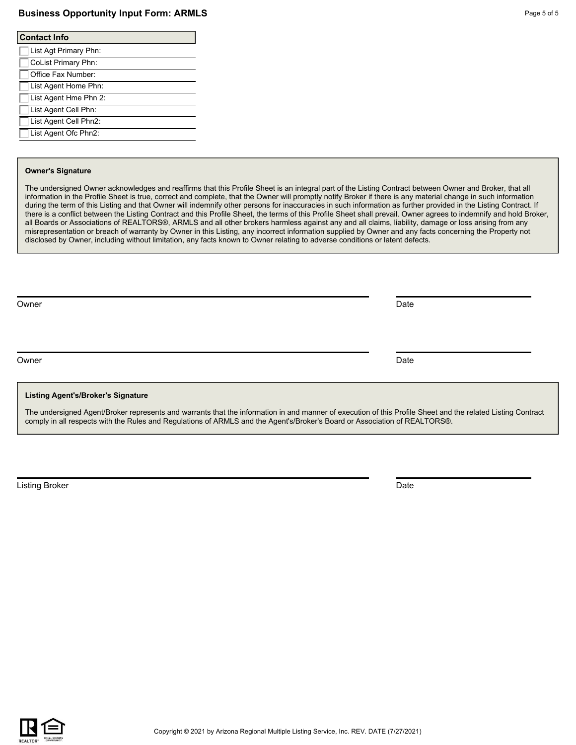#### **Business Opportunity Input Form: ARMLS** Page 1 and the state of 5 and 5 of 5 and 5 of 5 and 5 of 5 and 5 of 5 and 5 of 5 and 5 and 5 and 5 and 5 and 5 and 5 and 5 and 5 and 5 and 5 and 5 and 5 and 5 and 5 and 5 and 5 and

| <b>Contact Info</b>        |  |  |  |  |  |  |
|----------------------------|--|--|--|--|--|--|
| List Agt Primary Phn:      |  |  |  |  |  |  |
| <b>CoList Primary Phn:</b> |  |  |  |  |  |  |
| Office Fax Number:         |  |  |  |  |  |  |
| List Agent Home Phn:       |  |  |  |  |  |  |
| List Agent Hme Phn 2:      |  |  |  |  |  |  |
| List Agent Cell Phn:       |  |  |  |  |  |  |
| List Agent Cell Phn2:      |  |  |  |  |  |  |
| List Agent Ofc Phn2:       |  |  |  |  |  |  |
|                            |  |  |  |  |  |  |

#### **Owner's Signature**

The undersigned Owner acknowledges and reaffirms that this Profile Sheet is an integral part of the Listing Contract between Owner and Broker, that all information in the Profile Sheet is true, correct and complete, that the Owner will promptly notify Broker if there is any material change in such information during the term of this Listing and that Owner will indemnify other persons for inaccuracies in such information as further provided in the Listing Contract. If there is a conflict between the Listing Contract and this Profile Sheet, the terms of this Profile Sheet shall prevail. Owner agrees to indemnify and hold Broker, all Boards or Associations of REALTORS®, ARMLS and all other brokers harmless against any and all claims, liability, damage or loss arising from any misrepresentation or breach of warranty by Owner in this Listing, any incorrect information supplied by Owner and any facts concerning the Property not disclosed by Owner, including without limitation, any facts known to Owner relating to adverse conditions or latent defects.

Owner **Date** 

Owner **Date** 

#### **Listing Agent's/Broker's Signature**

The undersigned Agent/Broker represents and warrants that the information in and manner of execution of this Profile Sheet and the related Listing Contract comply in all respects with the Rules and Regulations of ARMLS and the Agent's/Broker's Board or Association of REALTORS®.

Listing Broker Date Communication of the Communication of the Communication of the Date Date Date Date Date

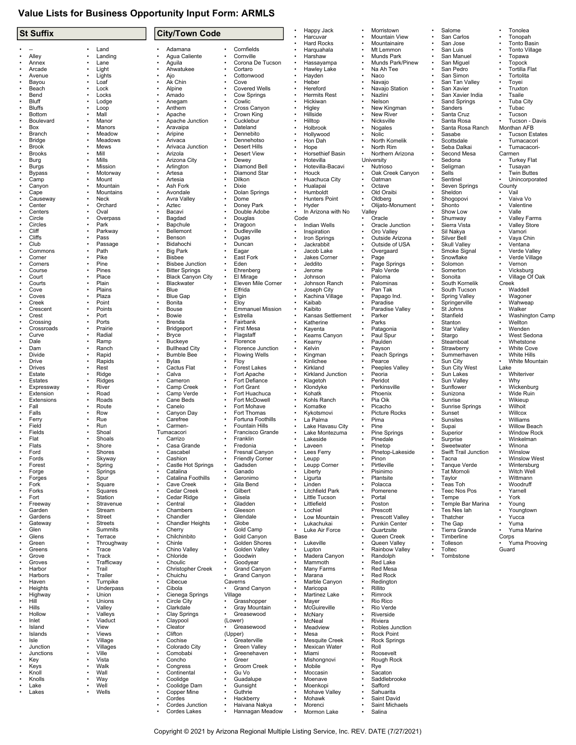## **Value Lists for Business Opportunity Input Form: ARMLS**

| <b>St Suffix</b>              |                          |                        | <b>City/Town Code</b>                     |           |                                            |           | Happy Jack<br>Harcuvar           |           | Morristown<br><b>Mountain View</b> | Salome<br>San Carlos               |           | Tonolea<br>Tonopah                   |
|-------------------------------|--------------------------|------------------------|-------------------------------------------|-----------|--------------------------------------------|-----------|----------------------------------|-----------|------------------------------------|------------------------------------|-----------|--------------------------------------|
|                               |                          |                        |                                           |           |                                            |           | <b>Hard Rocks</b>                |           | Mountainaire                       | San Jose                           |           | Tonto Basin                          |
|                               | Land                     | $\bullet$              | Adamana                                   |           | Cornfields                                 |           | Harquahala                       |           | Mt Lemmon                          | San Luis                           |           | <b>Tonto Village</b>                 |
| Alley                         | Landing                  |                        | Agua Caliente                             |           | Cornville                                  |           | Harshaw                          |           | Munds Park                         | San Manuel                         |           | Topawa                               |
| Annex<br>Arcade               | Lane<br>Light            | $\bullet$              | Aguila<br>Ahwatukee                       |           | Corona De Tucson<br>Cortaro                |           | Hassayampa<br>Hawley Lake        |           | Munds Park/Pinew<br>Na Ah Tee      | San Miguel<br>San Pedro            |           | Topock<br><b>Tortilla Flat</b>       |
| Avenue                        | Lights                   |                        | Ajo                                       |           | Cottonwood                                 |           | Hayden                           |           | Naco                               | San Simon                          |           | Tortolita                            |
| Bayou                         | Loaf                     |                        | Ak Chin                                   |           | Cove                                       |           | Heber                            |           | Navajo                             | San Tan Valley                     |           | Toyei                                |
| Beach                         | Lock                     |                        | Alpine                                    |           | <b>Covered Wells</b>                       |           | Hereford                         |           | Navajo Station                     | San Xavier                         |           | Truxton                              |
| Bend                          | Locks                    |                        | Amado                                     |           | Cow Springs                                |           | <b>Hermits Rest</b>              |           | Nazlini                            | San Xavier India                   |           | Tsaile                               |
| Bluff<br><b>Bluffs</b>        | Lodge<br>Loop            |                        | Anegam<br>Anthem                          |           | Cowlic<br>Cross Canyon                     |           | Hickiwan<br>Higley               |           | Nelson<br>New Kingman              | Sand Springs<br>Sanders            |           | <b>Tuba City</b><br>Tubac            |
| <b>Bottom</b>                 | Mall                     |                        | Apache                                    |           | Crown King                                 |           | Hillside                         |           | <b>New River</b>                   | Santa Cruz                         |           | Tucson                               |
| Boulevard                     | Manor                    |                        | Apache Junction                           |           | Cucklebur                                  |           | Hilltop                          |           | Nicksville                         | Santa Rosa                         |           | Tucson - Davis                       |
| Box                           | Manors                   |                        | Aravaipa                                  |           | Dateland                                   |           | Holbrook                         |           | Nogales                            | Santa Rosa Ranch                   |           | Monthan AFB                          |
| Branch                        | Meadow                   | $\bullet$              | Aripine<br>Arivaca                        |           | Dennebito<br>Dennehotso                    |           | Hollywood                        |           | Nolic                              | Sasabe                             |           | <b>Tucson Estates</b>                |
| <b>Bridge</b><br><b>Brook</b> | Meadows<br>Mews          |                        | Arivaca Junction                          |           | <b>Desert Hills</b>                        |           | Hon Dah<br>Hope                  |           | North Komelik<br>North Rim         | Scottsdale<br>Seba Dalkai          |           | Tumacacori<br>Tumacacori-            |
| <b>Brooks</b>                 | Mill                     |                        | Arizola                                   |           | <b>Desert View</b>                         |           | Horsethief Basin                 |           | Northern Arizona                   | Second Mesa                        |           | Carmen                               |
| Burg                          | Mills                    |                        | Arizona City                              |           | Dewey                                      |           | Hotevilla                        |           | University                         | Sedona                             |           | <b>Turkey Flat</b>                   |
| Burgs                         | Mission                  |                        | Arlington                                 |           | Diamond Bell                               |           | Hotevilla-Bacavi                 | $\bullet$ | Nutrioso                           | Seligman                           |           | Tusayan                              |
| <b>Bypass</b><br>Camp         | Motorway<br>Mount        |                        | Artesa<br>Artesia                         |           | Diamond Star<br>Dilkon                     |           | Houck<br>Huachuca City           |           | Oak Creek Canyon<br>Oatman         | Sells<br>Sentinel                  |           | <b>Twin Buttes</b><br>Unincorporated |
| Canyon                        | Mountain                 |                        | Ash Fork                                  |           | Dixie                                      |           | Hualapai                         |           | Octave                             | Seven Springs                      |           | County                               |
| Cape                          | Mountains                |                        | Avondale                                  |           | Dolan Springs                              |           | Humboldt                         |           | Old Oraibi                         | Sheldon                            | ٠         | Vail                                 |
| Causeway                      | Neck                     |                        | Avra Valley                               |           | Dome                                       |           | <b>Hunters Point</b>             |           | Oldberg                            | Shogopovi                          |           | Vaiva Vo                             |
| Center<br>Centers             | Orchard<br>Oval          |                        | Aztec<br>Bacavi                           |           | Doney Park<br>Double Adobe                 |           | Hyder<br>In Arizona with No      |           | Olijato-Monument<br>Valley         | Shonto<br>Show Low                 |           | Valentine<br>Valle                   |
| Circle                        | Overpass                 |                        | Bagdad                                    |           | Douglas                                    | Code      |                                  |           | Oracle                             | Shumway                            |           | <b>Valley Farms</b>                  |
| Circles                       | Park                     |                        | Bapchule                                  |           | Dragoon                                    |           | Indian Wells                     |           | Oracle Junction                    | Sierra Vista                       |           | <b>Valley Store</b>                  |
| Cliff                         | Parkway                  |                        | Bellemont                                 |           | Dudleyville                                |           | Inspiration                      |           | Oro Valley                         | Sil Nakya                          |           | Vamori                               |
| Cliffs                        | Pass                     |                        | Benson                                    |           | Dugas                                      |           | Iron Springs                     |           | Outside Arizona                    | Silver Bell                        |           | Vaya Chin                            |
| Club<br>Commons               | Passage<br>Path          |                        | Bidahochi<br><b>Big Park</b>              |           | Duncan<br>Eagar                            |           | Jackrabbit<br>Jacob Lake         |           | Outside of USA<br>Overgaard        | Skull Valley<br>Smoke Signal       |           | Ventana<br>Verde Valley              |
| Corner                        | Pike                     |                        | <b>Bisbee</b>                             |           | East Fork                                  |           | <b>Jakes Corner</b>              |           | Page                               | Snowflake                          |           | Verde Village                        |
| Corners                       | Pine                     |                        | <b>Bisbee Junction</b>                    |           | Eden                                       |           | Jeddito                          |           | Page Springs                       | Solomon                            |           | Vernon                               |
| Course                        | Pines                    |                        | <b>Bitter Springs</b>                     |           | Ehrenberg                                  |           | Jerome                           |           | Palo Verde                         | Somerton                           |           | Vicksburg                            |
| Court<br>Courts               | Place<br>Plain           |                        | <b>Black Canyon City</b><br>Blackwater    |           | El Mirage<br>Eleven Mile Corner            |           | Johnson<br>Johnson Ranch         |           | Paloma<br>Palominas                | Sonoita<br>South Kornelik          |           | Village Of Oak<br>Creek              |
| Cove                          | Plains                   |                        | Blue                                      |           | Elfrida                                    |           | Joseph Citv                      |           | Pan Tak                            | South Tucson                       | ۰         | Waddell                              |
| Coves                         | Plaza                    |                        | <b>Blue Gap</b>                           |           | Elgin                                      |           | Kachina Village                  |           | Papago Ind.                        | <b>Spring Valley</b>               |           | Wagoner                              |
| Creek                         | Point                    |                        | Bonita                                    |           | Eloy                                       |           | Kaibab                           |           | Paradise                           | Springerville                      |           | Wahweap                              |
| Crescent                      | Points                   |                        | Bouse                                     |           | <b>Emmanuel Mission</b>                    |           | Kaibito                          |           | Paradise Valley                    | St Johns                           |           | Walker                               |
| Crest<br>Crossing             | Port<br>Ports            |                        | Bowie<br>Brenda                           |           | Estrella<br>Fairbank                       |           | Kansas Settlement<br>Katherine   |           | Parker<br>Parks                    | Stanfield<br>Stanton               |           | <b>Washington Camp</b><br>Wellton    |
| Crossroads                    | Prairie                  |                        | Bridgeport                                |           | <b>First Mesa</b>                          |           | Kayenta                          |           | Patagonia                          | <b>Star Valley</b>                 |           | Wenden                               |
| Curve                         | Radial                   |                        | <b>Bryce</b>                              |           | Flagstaff                                  |           | Keams Canyon                     |           | Paul Spur                          | Stargo                             |           | West Sedona                          |
| Dale                          | Ramp                     |                        | <b>Buckeye</b>                            |           | Florence                                   |           | Kearny                           |           | Paulden                            | Steamboat                          |           | Whetstone                            |
| Dam<br>Divide                 | Ranch<br>Rapid           |                        | <b>Bullhead City</b><br><b>Bumble Bee</b> |           | Florence Junction<br><b>Flowing Wells</b>  |           | Kelvin<br>Kingman                |           | Payson<br>Peach Springs            | Strawberry<br>Summerhaven          |           | <b>White Cove</b><br>White Hills     |
| Drive                         | Rapids                   |                        | <b>Bylas</b>                              |           | Floy                                       |           | Kinlichee                        |           | Pearce                             | Sun City                           |           | White Mountain                       |
| <b>Drives</b>                 | Rest                     |                        | Cactus Flat                               |           | <b>Forest Lakes</b>                        |           | Kirkland                         |           | Peeples Valley                     | Sun City West                      |           | Lake                                 |
| Estate                        | Ridge                    | $\bullet$              | Calva                                     |           | Fort Apache                                |           | Kirkland Junction                |           | Peoria                             | Sun Lakes                          | ٠         | Whiteriver                           |
| Estates                       | Ridges<br>River          |                        | Cameron<br>Camp Creek                     |           | Fort Defiance<br>Fort Grant                |           | Klagetoh<br>Klondyke             |           | Peridot<br>Perkinsville            | Sun Valley<br>Sunflower            |           | Why                                  |
| Expressway<br>Extension       | Road                     |                        | Camp Verde                                |           | Fort Huachuca                              |           | Kohatk                           |           | Phoenix                            | Sunizona                           |           | Wickenburg<br>Wide Ruin              |
| Extensions                    | Roads                    |                        | Cane Beds                                 |           | Fort McDowell                              |           | Kohls Ranch                      |           | Pia Oik                            | Sunrise                            |           | Wikieup                              |
| Fall                          | Route                    |                        | Canelo                                    |           | Fort Mohave                                |           | Komatke                          |           | Picacho                            | Sunrise Springs                    |           | Wilhoit                              |
| Falls                         | Row<br>Rue               | $\bullet$              | Canyon Day<br>Carefree                    |           | Fort Thomas                                |           | Kykotsmovi<br>La Palma           |           | <b>Picture Rocks</b><br>Pima       | Sunset<br>Sunsites                 |           | Willcox<br>Williams                  |
| Ferry<br>Field                | Run                      |                        | Carmen-                                   |           | Fortuna Foothills<br><b>Fountain Hills</b> |           | Lake Havasu City                 |           | Pine                               | Supai                              |           | <b>Willow Beach</b>                  |
| Fields                        | Shoal                    |                        | Tumacacori                                |           | Francisco Grande                           |           | Lake Montezuma                   |           | <b>Pine Springs</b>                | Superior                           |           | <b>Window Rock</b>                   |
| Flat                          | Shoals                   |                        | Carrizo                                   |           | Franklin                                   |           | Lakeside                         |           | Pinedale                           | Surprise                           |           | Winkelman                            |
| Flats                         | Shore                    |                        | Casa Grande                               |           | Fredonia                                   |           | Laveen<br>Lees Ferry             |           | Pinetop                            | Sweetwater<br>Swift Trail Junction |           | Winona                               |
| Ford<br>Fords                 | Shores<br>Skyway         | $\bullet$              | Cascabel<br>Cashion                       |           | Fresnal Canyon<br><b>Friendly Corner</b>   |           | Leupp                            |           | Pinetop-Lakeside<br>Pinon          | Tacna                              |           | Winslow<br><b>Winslow West</b>       |
| Forest                        | Spring                   |                        | Castle Hot Springs                        |           | Gadsden                                    |           | Leupp Corner                     |           | Pirtleville                        | Tanque Verde                       |           | Wintersburg                          |
| Forge                         | Springs                  | $\bullet$              | Catalina                                  |           | Ganado                                     |           | Liberty                          |           | Pisinimo                           | <b>Tat Mornoli</b>                 |           | Witch Well                           |
| Forges                        | Spur                     | $\bullet$<br>$\bullet$ | Catalina Foothills                        |           | Geronimo                                   |           | Ligurta                          |           | Plantsite                          | Taylor                             |           | Wittmann                             |
| Fork<br>Forks                 | Square<br>Squares        | $\bullet$              | Cave Creek<br>Cedar Creek                 |           | Gila Bend<br>Gilbert                       |           | Linden<br><b>Litchfield Park</b> |           | Polacca<br>Pomerene                | Teas Toh<br><b>Teec Nos Pos</b>    |           | Woodruff<br>Yarnell                  |
| Fort                          | Station                  | $\bullet$              | Cedar Ridge                               |           | Gisela                                     |           | Little Tucson                    |           | Portal                             | Tempe                              |           | York                                 |
| Freeway                       | Stravenue                | $\bullet$              | Central                                   |           | Gladden                                    |           | Littlefield                      |           | Poston                             | Temple Bar Marina                  |           | Young                                |
| Garden<br>Gardens             | Stream                   | $\bullet$<br>$\bullet$ | Chambers                                  |           | Gleeson                                    |           | Lochiel                          |           | Prescott<br><b>Prescott Vallev</b> | Tes Nes lah                        |           | Youngtown                            |
| Gateway                       | Street<br><b>Streets</b> | $\bullet$              | Chandler<br><b>Chandler Heights</b>       |           | Glendale<br>Globe                          | $\bullet$ | Low Mountain<br>Lukachukai       |           | Punkin Center                      | Thatcher<br>The Gap                |           | Yucca<br>Yuma                        |
| Glen                          | Summits                  | $\bullet$              | Cherry                                    |           | Gold Camp                                  |           | Luke Air Force                   |           | Quartzsite                         | Tierra Grande                      |           | Yuma Marine                          |
| Glens                         | Terrace                  | $\bullet$              | Chilchinbito                              |           | Gold Canyon                                | Base      |                                  |           | Queen Creek                        | Timberline                         |           | Corps                                |
| Green                         | Throughway               | $\bullet$<br>$\bullet$ | Chinle                                    |           | Golden Shores                              | $\bullet$ | Lukeville                        |           | Queen Valley                       | Tolleson                           | $\bullet$ | Yuma Prooving                        |
| Greens<br>Grove               | Trace<br>Track           | $\bullet$              | Chino Valley<br>Chloride                  |           | Golden Valley<br>Goodwin                   |           | Lupton<br>Madera Canyon          |           | Rainbow Valley<br>Randolph         | Toltec<br>Tombstone                |           | Guard                                |
| Groves                        | Trafficway               |                        | Choulic                                   |           | Goodyear                                   |           | Mammoth                          |           | Red Lake                           |                                    |           |                                      |
| Harbor                        | Trail                    | $\bullet$              | Christopher Creek                         |           | Grand Canyon                               |           | Many Farms                       |           | <b>Red Mesa</b>                    |                                    |           |                                      |
| Harbors                       | Trailer                  | $\bullet$              | Chuichu                                   |           | Grand Canyon                               | $\bullet$ | Marana                           |           | <b>Red Rock</b>                    |                                    |           |                                      |
| Haven<br>Heights              | Turnpike<br>Underpass    | $\bullet$<br>$\bullet$ | Cibecue<br>Cibola                         | $\bullet$ | Caverns<br>Grand Canyon                    | $\bullet$ | Marble Canyon<br>Maricopa        |           | Redington<br>Rillito               |                                    |           |                                      |
| Highway                       | Union                    |                        | Cienega Springs                           |           | Village                                    |           | Martinez Lake                    |           | Rimrock                            |                                    |           |                                      |
| Hill                          | Unions                   | $\bullet$              | Circle City                               | $\bullet$ | Grasshopper                                | $\bullet$ | Mayer                            |           | Rio Rico                           |                                    |           |                                      |
| Hills                         | Valley                   | $\bullet$              | Clarkdale                                 |           | Gray Mountain                              |           | McGuireville                     |           | Rio Verde                          |                                    |           |                                      |
| Hollow<br>Inlet               | Valleys<br>Viaduct       |                        | Clay Springs<br>Claypool                  |           | Greasewood<br>(Lower)                      |           | McNary<br>McNeal                 |           | Riverside<br>Riviera               |                                    |           |                                      |
| Island                        | View                     |                        | Cleator                                   |           | Greasewood                                 |           | Meadview                         |           | Robles Junction                    |                                    |           |                                      |
| Islands                       | <b>Views</b>             | $\bullet$              | Clifton                                   |           | (Upper)                                    |           | Mesa                             |           | <b>Rock Point</b>                  |                                    |           |                                      |
| Isle                          | Village                  |                        | Cochise                                   |           | Greaterville                               |           | <b>Mesquite Creek</b>            |           | <b>Rock Springs</b>                |                                    |           |                                      |
| Junction<br>Junctions         | Villages<br>Ville        |                        | Colorado City<br>Comobabi                 |           | Green Valley<br>Greenehaven                | $\bullet$ | Mexican Water<br>Miami           |           | Roll<br>Roosevelt                  |                                    |           |                                      |
| Key                           | Vista                    |                        | Concho                                    |           | Greer                                      |           | Mishongnovi                      |           | Rough Rock                         |                                    |           |                                      |
| Keys                          | Walk                     | $\bullet$              | Congress                                  |           | Groom Creek                                |           | Mobile                           |           | Rye                                |                                    |           |                                      |
| Knoll                         | Wall                     | $\bullet$              | Continental                               |           | Gu Vo                                      |           | Moccasin                         |           | Sacaton                            |                                    |           |                                      |
| Knolls<br>Lake                | Way<br>Well              |                        | Coolidge<br>Coolidge Dam                  |           | Guadalupe<br>Gunsight                      |           | Moenave<br>Moenkopi              |           | Saddlebrooke<br>Safford            |                                    |           |                                      |
| Lakes                         | Wells                    |                        | Copper Mine                               |           | Guthrie                                    |           | Mohave Valley                    |           | Sahuarita                          |                                    |           |                                      |
|                               |                          |                        | Cordes                                    |           | Hackberry                                  |           | Mohawk                           |           | Saint David                        |                                    |           |                                      |
|                               |                          | $\bullet$              | Cordes Junction                           |           | Haivana Nakya                              | $\bullet$ | Morenci                          |           | Saint Michaels                     |                                    |           |                                      |
|                               |                          |                        | Cordes Lakes                              |           | Hannagan Meadow                            |           | Mormon Lake                      |           | Salina                             |                                    |           |                                      |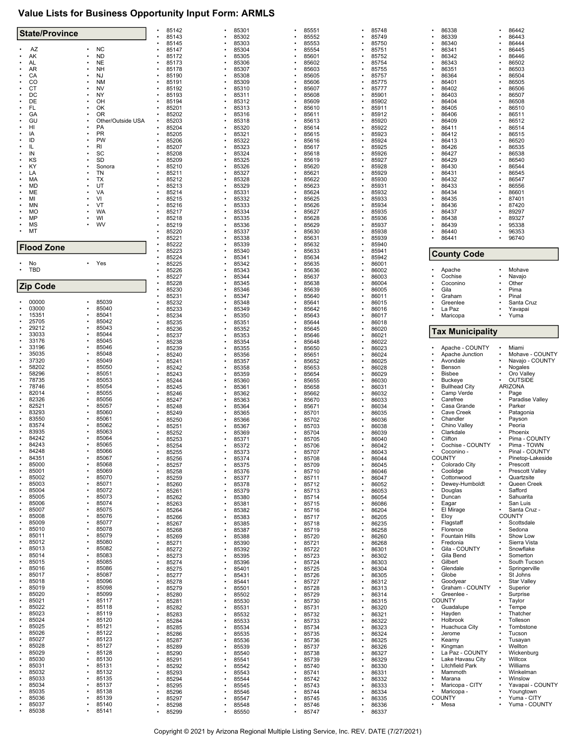## **Value Lists for Business Opportunity Input Form: ARMLS**

| 85145<br>85303<br>85553<br>85750<br>86340<br>86444<br><b>NC</b><br>AZ<br>85304<br>85554<br>86341<br>٠<br>85147<br>85751<br>86445<br><b>ND</b><br>85601<br>86342<br>86446<br>AK<br>85172<br>85305<br>85752<br>AL<br><b>NE</b><br>86343<br>۰<br>85173<br>85306<br>85602<br>85754<br>86502<br>AR<br><b>NH</b><br>85307<br>86351<br>85178<br>85603<br>85755<br>86503<br>CA<br>NJ<br>85190<br>85308<br>85605<br>85757<br>86364<br>86504<br><b>NM</b><br>CO<br>86401<br>86505<br>85191<br>85309<br>85606<br>85775<br>85310<br>86506<br>CT<br><b>NV</b><br>85192<br>85607<br>85777<br>86402<br>DC<br>NY<br>85193<br>85311<br>85608<br>85901<br>86403<br>86507<br>DE<br>OH<br>85902<br>86404<br>86508<br>85194<br>85312<br>85609<br>FL<br>OK<br>85201<br>85313<br>85610<br>85911<br>86405<br>86510<br>GA<br>0R<br>85202<br>85912<br>85316<br>85611<br>86406<br>86511<br>GU<br>85920<br>86512<br>Other/Outside USA<br>85203<br>85318<br>85613<br>86409<br>HI<br>PA<br>85204<br>85320<br>85614<br>85922<br>86411<br>86514<br>PR<br>85205<br>85321<br>85923<br>86515<br>85615<br>86412<br>IA<br>۰<br>PW<br>ID<br>85206<br>85322<br>85616<br>85924<br>86413<br>86520<br><b>RI</b><br>IL<br>85207<br>85323<br>85925<br>86535<br>85617<br>86426<br>SC<br>85208<br>85324<br>86538<br>IN<br>85618<br>85926<br>86427<br>SD<br>KS<br>85325<br>85927<br>85209<br>85619<br>86429<br>86540<br>85928<br>86544<br>KY<br>Sonora<br>85210<br>85326<br>85620<br>86430<br>٠<br>85929<br>LA<br>TN<br>85211<br>85327<br>85621<br>86431<br>86545<br>МA<br>ТX<br>85212<br>85328<br>85930<br>86547<br>85622<br>86432<br>85329<br>85931<br>86556<br>MD<br>UT<br>85213<br>85623<br>86433<br>ME<br>VA<br>85932<br>85214<br>85331<br>85624<br>86434<br>86601<br>VI<br>85332<br>85933<br>86435<br>MI<br>85215<br>85625<br>87401<br>MN<br>VT<br>85216<br>85333<br>85626<br>85934<br>86436<br>87420<br><b>WA</b><br>MO<br>85935<br>89297<br>85217<br>85334<br>85627<br>86437<br>MP<br>85218<br>85335<br>WI<br>85628<br>85936<br>86438<br>89327<br><b>MS</b><br>85336<br>85937<br><b>WV</b><br>85219<br>85629<br>86439<br>95338<br>MT<br>85220<br>85337<br>85938<br>96353<br>85630<br>86440<br>85221<br>85338<br>85631<br>85939<br>86441<br>96740<br>85222<br>85339<br>85632<br>85940<br><b>Flood Zone</b><br>85223<br>85340<br>85633<br>85941<br><b>County Code</b><br>85942<br>85224<br>85341<br>85634<br>No<br>• Yes<br>85225<br>85342<br>85635<br>86001<br><b>TBD</b><br>٠<br>Apache<br>Mohave<br>85226<br>85343<br>85636<br>86002<br>$\bullet$<br>Cochise<br>85227<br>86003<br>Navajo<br>85344<br>85637<br>85228<br>85345<br>85638<br>86004<br>Coconino<br>Other<br><b>Zip Code</b><br>85230<br>85346<br>85639<br>86005<br>Gila<br>Pima<br>85231<br>85347<br>86011<br>Pinal<br>85640<br>Graham<br>85039<br>00000<br>85232<br>Santa Cruz<br>٠<br>85348<br>85641<br>86015<br>Greenlee<br>03000<br>85040<br>85233<br>85349<br>86016<br>La Paz<br>Yavapai<br>85642<br>15351<br>85041<br>85234<br>85350<br>86017<br>Maricopa<br>Yuma<br>85643<br>25705<br>85042<br>85235<br>85351<br>85644<br>86018<br>29212<br>85043<br>85236<br>85352<br>85645<br>86020<br><b>Tax Municipality</b><br>33033<br>85044<br>85237<br>85353<br>85646<br>86021<br>33176<br>85045<br>86022<br>85238<br>85354<br>85648<br>33196<br>85046<br>Apache - COUNTY<br>Miami<br>85239<br>86023<br>85355<br>85650<br>35035<br>85048<br>Mohave - COUNTY<br>Apache Junction<br>85240<br>85356<br>85651<br>86024<br>$\bullet$<br>37320<br>85049<br>Avondale<br>Navajo - COUNTY<br>85241<br>86025<br>85357<br>85652<br>58202<br>85050<br>85242<br>85358<br>85653<br>86028<br>Benson<br>Nogales<br>58296<br>85051<br><b>Bisbee</b><br>Oro Valley<br>85243<br>85359<br>85654<br>86029<br>78735<br>85053<br><b>OUTSIDE</b><br>85244<br>85360<br>85655<br>86030<br><b>Buckeye</b><br>78746<br>85054<br><b>Bullhead City</b><br><b>ARIZONA</b><br>85245<br>85361<br>85658<br>86031<br>82014<br>85055<br>Camp Verde<br>Page<br>85246<br>85362<br>85662<br>86032<br>82326<br>85056<br>Carefree<br>Paradise Valley<br>85247<br>85363<br>85670<br>86033<br>82521<br>85057<br>Casa Grande<br>Parker<br>86034<br>85248<br>85364<br>85671<br>83293<br>85060<br>Cave Creek<br>85249<br>Patagonia<br>85365<br>85701<br>86035<br>83550<br>85061<br>Chandler<br>Payson<br>85250<br>85366<br>85702<br>86036<br>83574<br>85062<br>Peoria<br>86038<br>Chino Valley<br>85251<br>85367<br>85703<br>83935<br>85063<br>85252<br>Phoenix<br>85369<br>85704<br>86039<br>Clarkdale<br>84242<br>85064<br>Clifton<br>Pima - COUNTY<br>85253<br>85371<br>86040<br>85705<br>Cochise - COUNTY<br>Pima - TOWN<br>84243<br>85065<br>85254<br>85372<br>85706<br>86042<br>84248<br>85066<br>85255<br>Coconino -<br>Pinal - COUNTY<br>85373<br>85707<br>86043<br>84351<br>85067<br><b>COUNTY</b><br>Pinetop-Lakeside<br>85256<br>85374<br>85708<br>86044<br>85000<br>85068<br>Prescott<br>85257<br>85375<br>85709<br>86045<br>Colorado City<br>85001<br>85069<br>Coolidge<br>86046<br>Prescott Valley<br>85258<br>85376<br>85710<br>85002<br>85070<br>Cottonwood<br>Quartzsite<br>85259<br>85377<br>86047<br>85711<br>85003<br>85071<br>Dewey-Humboldt<br>Queen Creek<br>85260<br>85378<br>85712<br>86052<br>$\bullet$<br>85004<br>85072<br>Douglas<br>$\bullet$<br>Safford<br>85261<br>85379<br>85713<br>86053<br>85005<br>85073<br>85262<br>86054<br>Duncan<br>Sahuarita<br>85380<br>85714<br>85006<br>85074<br>85263<br>Eagar<br>San Luis<br>85381<br>85715<br>86086<br>85007<br>85075<br>El Mirage<br>Santa Cruz -<br>85264<br>85382<br>85716<br>86204<br>85008<br>85076<br><b>COUNTY</b><br>85266<br>85383<br>86205<br>Eloy<br>85717<br>85009<br>85077<br>Flagstaff<br>Scottsdale<br>85267<br>85385<br>85718<br>86235<br>85010<br>85078<br>Florence<br>Sedona<br>85268<br>85719<br>86258<br>85387<br>85011<br>85079<br>Show Low<br><b>Fountain Hills</b><br>85269<br>85388<br>85720<br>86260<br>85012<br>85080<br>Fredonia<br>Sierra Vista<br>85271<br>85390<br>85721<br>86268<br>85013<br>85082<br>Snowflake<br>85272<br>85392<br>85722<br>86301<br>Gila - COUNTY<br>85083<br>85014<br>Gila Bend<br>Somerton<br>85273<br>85395<br>85723<br>86302<br>85015<br>85085<br>Gilbert<br>South Tucson<br>85274<br>85396<br>86303<br>85724<br>85016<br>85086<br>Springerville<br>85275<br>86304<br>Glendale<br>85401<br>85725<br>St Johns<br>85017<br>85087<br>Globe<br>85277<br>85431<br>85726<br>86305<br>85018<br>85096<br><b>Star Valley</b><br>85278<br>85441<br>86312<br>Goodyear<br>85727<br>85019<br>85098<br>Graham - COUNTY<br>Superior<br>85279<br>85501<br>85728<br>86313<br>85020<br>85099<br>Surprise<br>85280<br>85729<br>86314<br>Greenlee -<br>85502<br>85021<br><b>COUNTY</b><br>85117<br>Taylor<br>85281<br>85530<br>86315<br>85730<br>85022<br>85118<br>Guadalupe<br>Tempe<br>85282<br>85531<br>85731<br>86320<br>85023<br>85119<br>Thatcher<br>85283<br>85532<br>85732<br>86321<br>Hayden<br>85024<br>85120<br>Holbrook<br>Tolleson<br>85284<br>85533<br>85733<br>86322<br>85025<br>85121<br>85285<br>85534<br>86323<br>Huachuca City<br>Tombstone<br>85734<br>85026<br>85122<br>85286<br>Jerome<br>Tucson<br>85535<br>85735<br>86324<br>85027<br>85123<br>Tusayan<br>85287<br>85536<br>85736<br>86325<br>Kearny<br>85028<br>85127<br>Wellton<br>85289<br>85539<br>86326<br>Kingman<br>85737<br>85029<br>85128<br>La Paz - COUNTY<br>Wickenburg<br>85290<br>85540<br>85738<br>86327<br>$\bullet$<br>85030<br>85130<br>$\bullet$<br>Willcox<br>85291<br>85739<br>86329<br>Lake Havasu City<br>85541<br>85031<br>Williams<br>85131<br>Litchfield Park<br>$\bullet$<br>85292<br>85542<br>85740<br>86330<br>85032<br>85132<br>Mammoth<br>Winkelman<br>85293<br>85543<br>85741<br>86331<br>85033<br>85135<br>85294<br>85544<br>85742<br>86332<br>Marana<br>Winslow<br>85034<br>85137<br>Maricopa - CITY<br>Yavapai - COUNTY<br>85295<br>85545<br>85743<br>86333<br>85035<br>85138<br>٠<br>85296<br>86334<br>Maricopa -<br>Youngtown<br>85546<br>85744<br>85036<br>85139<br><b>COUNTY</b><br>85297<br>Yuma - CITY<br>85547<br>85745<br>86335<br>85037<br>Mesa<br>Yuma - COUNTY<br>85140<br>85298<br>85548<br>85746<br>86336<br>$\bullet$<br>85299 | <b>State/Province</b> |       | 85142 | 85301 |           | 85551 | 85748 | 86338 | 86442 |
|------------------------------------------------------------------------------------------------------------------------------------------------------------------------------------------------------------------------------------------------------------------------------------------------------------------------------------------------------------------------------------------------------------------------------------------------------------------------------------------------------------------------------------------------------------------------------------------------------------------------------------------------------------------------------------------------------------------------------------------------------------------------------------------------------------------------------------------------------------------------------------------------------------------------------------------------------------------------------------------------------------------------------------------------------------------------------------------------------------------------------------------------------------------------------------------------------------------------------------------------------------------------------------------------------------------------------------------------------------------------------------------------------------------------------------------------------------------------------------------------------------------------------------------------------------------------------------------------------------------------------------------------------------------------------------------------------------------------------------------------------------------------------------------------------------------------------------------------------------------------------------------------------------------------------------------------------------------------------------------------------------------------------------------------------------------------------------------------------------------------------------------------------------------------------------------------------------------------------------------------------------------------------------------------------------------------------------------------------------------------------------------------------------------------------------------------------------------------------------------------------------------------------------------------------------------------------------------------------------------------------------------------------------------------------------------------------------------------------------------------------------------------------------------------------------------------------------------------------------------------------------------------------------------------------------------------------------------------------------------------------------------------------------------------------------------------------------------------------------------------------------------------------------------------------------------------------------------------------------------------------------------------------------------------------------------------------------------------------------------------------------------------------------------------------------------------------------------------------------------------------------------------------------------------------------------------------------------------------------------------------------------------------------------------------------------------------------------------------------------------------------------------------------------------------------------------------------------------------------------------------------------------------------------------------------------------------------------------------------------------------------------------------------------------------------------------------------------------------------------------------------------------------------------------------------------------------------------------------------------------------------------------------------------------------------------------------------------------------------------------------------------------------------------------------------------------------------------------------------------------------------------------------------------------------------------------------------------------------------------------------------------------------------------------------------------------------------------------------------------------------------------------------------------------------------------------------------------------------------------------------------------------------------------------------------------------------------------------------------------------------------------------------------------------------------------------------------------------------------------------------------------------------------------------------------------------------------------------------------------------------------------------------------------------------------------------------------------------------------------------------------------------------------------------------------------------------------------------------------------------------------------------------------------------------------------------------------------------------------------------------------------------------------------------------------------------------------------------------------------------------------------------------------------------------------------------------------------------------------------------------------------------------------------------------------------------------------------------------------------------------------------------------------------------------------------------------------------------------------------------------------------------------------------------------------------------------------------------------------------------------------------------------------------------------------------------------------------------------------------------------------------------------------------------------------------------------------------------------------------------------------------------------------------------------------------------------------------------------------------------------------------------------------------------------------------------------------------------------------------------------------------------------------------------------------------------------------------------------------------------------------------------------------------------------------------------------------------------------------------------------------------------------------------------------------------------------------------------------------------------------------------------------------------------------------------------------------------------------------------------------------------------------------------------------------------------------------------------------------------------------------------------------------------------------------------------------------------------------------------------------------------------------------------------------------------------------------------------------------------------------------------------------------------------------------------------------------------------------------------------------------------------------------------------------------------------------------------------------------------------------------------------------------------------------------------------------------------------------------------------------------------------------------------------------------------------------------------------------------------------------------------------|-----------------------|-------|-------|-------|-----------|-------|-------|-------|-------|
|                                                                                                                                                                                                                                                                                                                                                                                                                                                                                                                                                                                                                                                                                                                                                                                                                                                                                                                                                                                                                                                                                                                                                                                                                                                                                                                                                                                                                                                                                                                                                                                                                                                                                                                                                                                                                                                                                                                                                                                                                                                                                                                                                                                                                                                                                                                                                                                                                                                                                                                                                                                                                                                                                                                                                                                                                                                                                                                                                                                                                                                                                                                                                                                                                                                                                                                                                                                                                                                                                                                                                                                                                                                                                                                                                                                                                                                                                                                                                                                                                                                                                                                                                                                                                                                                                                                                                                                                                                                                                                                                                                                                                                                                                                                                                                                                                                                                                                                                                                                                                                                                                                                                                                                                                                                                                                                                                                                                                                                                                                                                                                                                                                                                                                                                                                                                                                                                                                                                                                                                                                                                                                                                                                                                                                                                                                                                                                                                                                                                                                                                                                                                                                                                                                                                                                                                                                                                                                                                                                                                                                                                                                                                                                                                                                                                                                                                                                                                                                                                                                                                                                                                                                                                                                                                                                                                                                                                                                                                                                                                                                                                                                                                                |                       |       | 85143 | 85302 |           | 85552 | 85749 | 86339 | 86443 |
|                                                                                                                                                                                                                                                                                                                                                                                                                                                                                                                                                                                                                                                                                                                                                                                                                                                                                                                                                                                                                                                                                                                                                                                                                                                                                                                                                                                                                                                                                                                                                                                                                                                                                                                                                                                                                                                                                                                                                                                                                                                                                                                                                                                                                                                                                                                                                                                                                                                                                                                                                                                                                                                                                                                                                                                                                                                                                                                                                                                                                                                                                                                                                                                                                                                                                                                                                                                                                                                                                                                                                                                                                                                                                                                                                                                                                                                                                                                                                                                                                                                                                                                                                                                                                                                                                                                                                                                                                                                                                                                                                                                                                                                                                                                                                                                                                                                                                                                                                                                                                                                                                                                                                                                                                                                                                                                                                                                                                                                                                                                                                                                                                                                                                                                                                                                                                                                                                                                                                                                                                                                                                                                                                                                                                                                                                                                                                                                                                                                                                                                                                                                                                                                                                                                                                                                                                                                                                                                                                                                                                                                                                                                                                                                                                                                                                                                                                                                                                                                                                                                                                                                                                                                                                                                                                                                                                                                                                                                                                                                                                                                                                                                                                |                       |       |       |       |           |       |       |       |       |
|                                                                                                                                                                                                                                                                                                                                                                                                                                                                                                                                                                                                                                                                                                                                                                                                                                                                                                                                                                                                                                                                                                                                                                                                                                                                                                                                                                                                                                                                                                                                                                                                                                                                                                                                                                                                                                                                                                                                                                                                                                                                                                                                                                                                                                                                                                                                                                                                                                                                                                                                                                                                                                                                                                                                                                                                                                                                                                                                                                                                                                                                                                                                                                                                                                                                                                                                                                                                                                                                                                                                                                                                                                                                                                                                                                                                                                                                                                                                                                                                                                                                                                                                                                                                                                                                                                                                                                                                                                                                                                                                                                                                                                                                                                                                                                                                                                                                                                                                                                                                                                                                                                                                                                                                                                                                                                                                                                                                                                                                                                                                                                                                                                                                                                                                                                                                                                                                                                                                                                                                                                                                                                                                                                                                                                                                                                                                                                                                                                                                                                                                                                                                                                                                                                                                                                                                                                                                                                                                                                                                                                                                                                                                                                                                                                                                                                                                                                                                                                                                                                                                                                                                                                                                                                                                                                                                                                                                                                                                                                                                                                                                                                                                                |                       |       |       |       |           |       |       |       |       |
|                                                                                                                                                                                                                                                                                                                                                                                                                                                                                                                                                                                                                                                                                                                                                                                                                                                                                                                                                                                                                                                                                                                                                                                                                                                                                                                                                                                                                                                                                                                                                                                                                                                                                                                                                                                                                                                                                                                                                                                                                                                                                                                                                                                                                                                                                                                                                                                                                                                                                                                                                                                                                                                                                                                                                                                                                                                                                                                                                                                                                                                                                                                                                                                                                                                                                                                                                                                                                                                                                                                                                                                                                                                                                                                                                                                                                                                                                                                                                                                                                                                                                                                                                                                                                                                                                                                                                                                                                                                                                                                                                                                                                                                                                                                                                                                                                                                                                                                                                                                                                                                                                                                                                                                                                                                                                                                                                                                                                                                                                                                                                                                                                                                                                                                                                                                                                                                                                                                                                                                                                                                                                                                                                                                                                                                                                                                                                                                                                                                                                                                                                                                                                                                                                                                                                                                                                                                                                                                                                                                                                                                                                                                                                                                                                                                                                                                                                                                                                                                                                                                                                                                                                                                                                                                                                                                                                                                                                                                                                                                                                                                                                                                                                |                       |       |       |       |           |       |       |       |       |
|                                                                                                                                                                                                                                                                                                                                                                                                                                                                                                                                                                                                                                                                                                                                                                                                                                                                                                                                                                                                                                                                                                                                                                                                                                                                                                                                                                                                                                                                                                                                                                                                                                                                                                                                                                                                                                                                                                                                                                                                                                                                                                                                                                                                                                                                                                                                                                                                                                                                                                                                                                                                                                                                                                                                                                                                                                                                                                                                                                                                                                                                                                                                                                                                                                                                                                                                                                                                                                                                                                                                                                                                                                                                                                                                                                                                                                                                                                                                                                                                                                                                                                                                                                                                                                                                                                                                                                                                                                                                                                                                                                                                                                                                                                                                                                                                                                                                                                                                                                                                                                                                                                                                                                                                                                                                                                                                                                                                                                                                                                                                                                                                                                                                                                                                                                                                                                                                                                                                                                                                                                                                                                                                                                                                                                                                                                                                                                                                                                                                                                                                                                                                                                                                                                                                                                                                                                                                                                                                                                                                                                                                                                                                                                                                                                                                                                                                                                                                                                                                                                                                                                                                                                                                                                                                                                                                                                                                                                                                                                                                                                                                                                                                                |                       |       |       |       |           |       |       |       |       |
|                                                                                                                                                                                                                                                                                                                                                                                                                                                                                                                                                                                                                                                                                                                                                                                                                                                                                                                                                                                                                                                                                                                                                                                                                                                                                                                                                                                                                                                                                                                                                                                                                                                                                                                                                                                                                                                                                                                                                                                                                                                                                                                                                                                                                                                                                                                                                                                                                                                                                                                                                                                                                                                                                                                                                                                                                                                                                                                                                                                                                                                                                                                                                                                                                                                                                                                                                                                                                                                                                                                                                                                                                                                                                                                                                                                                                                                                                                                                                                                                                                                                                                                                                                                                                                                                                                                                                                                                                                                                                                                                                                                                                                                                                                                                                                                                                                                                                                                                                                                                                                                                                                                                                                                                                                                                                                                                                                                                                                                                                                                                                                                                                                                                                                                                                                                                                                                                                                                                                                                                                                                                                                                                                                                                                                                                                                                                                                                                                                                                                                                                                                                                                                                                                                                                                                                                                                                                                                                                                                                                                                                                                                                                                                                                                                                                                                                                                                                                                                                                                                                                                                                                                                                                                                                                                                                                                                                                                                                                                                                                                                                                                                                                                |                       |       |       |       |           |       |       |       |       |
|                                                                                                                                                                                                                                                                                                                                                                                                                                                                                                                                                                                                                                                                                                                                                                                                                                                                                                                                                                                                                                                                                                                                                                                                                                                                                                                                                                                                                                                                                                                                                                                                                                                                                                                                                                                                                                                                                                                                                                                                                                                                                                                                                                                                                                                                                                                                                                                                                                                                                                                                                                                                                                                                                                                                                                                                                                                                                                                                                                                                                                                                                                                                                                                                                                                                                                                                                                                                                                                                                                                                                                                                                                                                                                                                                                                                                                                                                                                                                                                                                                                                                                                                                                                                                                                                                                                                                                                                                                                                                                                                                                                                                                                                                                                                                                                                                                                                                                                                                                                                                                                                                                                                                                                                                                                                                                                                                                                                                                                                                                                                                                                                                                                                                                                                                                                                                                                                                                                                                                                                                                                                                                                                                                                                                                                                                                                                                                                                                                                                                                                                                                                                                                                                                                                                                                                                                                                                                                                                                                                                                                                                                                                                                                                                                                                                                                                                                                                                                                                                                                                                                                                                                                                                                                                                                                                                                                                                                                                                                                                                                                                                                                                                                |                       |       |       |       |           |       |       |       |       |
|                                                                                                                                                                                                                                                                                                                                                                                                                                                                                                                                                                                                                                                                                                                                                                                                                                                                                                                                                                                                                                                                                                                                                                                                                                                                                                                                                                                                                                                                                                                                                                                                                                                                                                                                                                                                                                                                                                                                                                                                                                                                                                                                                                                                                                                                                                                                                                                                                                                                                                                                                                                                                                                                                                                                                                                                                                                                                                                                                                                                                                                                                                                                                                                                                                                                                                                                                                                                                                                                                                                                                                                                                                                                                                                                                                                                                                                                                                                                                                                                                                                                                                                                                                                                                                                                                                                                                                                                                                                                                                                                                                                                                                                                                                                                                                                                                                                                                                                                                                                                                                                                                                                                                                                                                                                                                                                                                                                                                                                                                                                                                                                                                                                                                                                                                                                                                                                                                                                                                                                                                                                                                                                                                                                                                                                                                                                                                                                                                                                                                                                                                                                                                                                                                                                                                                                                                                                                                                                                                                                                                                                                                                                                                                                                                                                                                                                                                                                                                                                                                                                                                                                                                                                                                                                                                                                                                                                                                                                                                                                                                                                                                                                                                |                       |       |       |       |           |       |       |       |       |
|                                                                                                                                                                                                                                                                                                                                                                                                                                                                                                                                                                                                                                                                                                                                                                                                                                                                                                                                                                                                                                                                                                                                                                                                                                                                                                                                                                                                                                                                                                                                                                                                                                                                                                                                                                                                                                                                                                                                                                                                                                                                                                                                                                                                                                                                                                                                                                                                                                                                                                                                                                                                                                                                                                                                                                                                                                                                                                                                                                                                                                                                                                                                                                                                                                                                                                                                                                                                                                                                                                                                                                                                                                                                                                                                                                                                                                                                                                                                                                                                                                                                                                                                                                                                                                                                                                                                                                                                                                                                                                                                                                                                                                                                                                                                                                                                                                                                                                                                                                                                                                                                                                                                                                                                                                                                                                                                                                                                                                                                                                                                                                                                                                                                                                                                                                                                                                                                                                                                                                                                                                                                                                                                                                                                                                                                                                                                                                                                                                                                                                                                                                                                                                                                                                                                                                                                                                                                                                                                                                                                                                                                                                                                                                                                                                                                                                                                                                                                                                                                                                                                                                                                                                                                                                                                                                                                                                                                                                                                                                                                                                                                                                                                                |                       |       |       |       |           |       |       |       |       |
|                                                                                                                                                                                                                                                                                                                                                                                                                                                                                                                                                                                                                                                                                                                                                                                                                                                                                                                                                                                                                                                                                                                                                                                                                                                                                                                                                                                                                                                                                                                                                                                                                                                                                                                                                                                                                                                                                                                                                                                                                                                                                                                                                                                                                                                                                                                                                                                                                                                                                                                                                                                                                                                                                                                                                                                                                                                                                                                                                                                                                                                                                                                                                                                                                                                                                                                                                                                                                                                                                                                                                                                                                                                                                                                                                                                                                                                                                                                                                                                                                                                                                                                                                                                                                                                                                                                                                                                                                                                                                                                                                                                                                                                                                                                                                                                                                                                                                                                                                                                                                                                                                                                                                                                                                                                                                                                                                                                                                                                                                                                                                                                                                                                                                                                                                                                                                                                                                                                                                                                                                                                                                                                                                                                                                                                                                                                                                                                                                                                                                                                                                                                                                                                                                                                                                                                                                                                                                                                                                                                                                                                                                                                                                                                                                                                                                                                                                                                                                                                                                                                                                                                                                                                                                                                                                                                                                                                                                                                                                                                                                                                                                                                                                |                       |       |       |       |           |       |       |       |       |
|                                                                                                                                                                                                                                                                                                                                                                                                                                                                                                                                                                                                                                                                                                                                                                                                                                                                                                                                                                                                                                                                                                                                                                                                                                                                                                                                                                                                                                                                                                                                                                                                                                                                                                                                                                                                                                                                                                                                                                                                                                                                                                                                                                                                                                                                                                                                                                                                                                                                                                                                                                                                                                                                                                                                                                                                                                                                                                                                                                                                                                                                                                                                                                                                                                                                                                                                                                                                                                                                                                                                                                                                                                                                                                                                                                                                                                                                                                                                                                                                                                                                                                                                                                                                                                                                                                                                                                                                                                                                                                                                                                                                                                                                                                                                                                                                                                                                                                                                                                                                                                                                                                                                                                                                                                                                                                                                                                                                                                                                                                                                                                                                                                                                                                                                                                                                                                                                                                                                                                                                                                                                                                                                                                                                                                                                                                                                                                                                                                                                                                                                                                                                                                                                                                                                                                                                                                                                                                                                                                                                                                                                                                                                                                                                                                                                                                                                                                                                                                                                                                                                                                                                                                                                                                                                                                                                                                                                                                                                                                                                                                                                                                                                                |                       |       |       |       |           |       |       |       |       |
|                                                                                                                                                                                                                                                                                                                                                                                                                                                                                                                                                                                                                                                                                                                                                                                                                                                                                                                                                                                                                                                                                                                                                                                                                                                                                                                                                                                                                                                                                                                                                                                                                                                                                                                                                                                                                                                                                                                                                                                                                                                                                                                                                                                                                                                                                                                                                                                                                                                                                                                                                                                                                                                                                                                                                                                                                                                                                                                                                                                                                                                                                                                                                                                                                                                                                                                                                                                                                                                                                                                                                                                                                                                                                                                                                                                                                                                                                                                                                                                                                                                                                                                                                                                                                                                                                                                                                                                                                                                                                                                                                                                                                                                                                                                                                                                                                                                                                                                                                                                                                                                                                                                                                                                                                                                                                                                                                                                                                                                                                                                                                                                                                                                                                                                                                                                                                                                                                                                                                                                                                                                                                                                                                                                                                                                                                                                                                                                                                                                                                                                                                                                                                                                                                                                                                                                                                                                                                                                                                                                                                                                                                                                                                                                                                                                                                                                                                                                                                                                                                                                                                                                                                                                                                                                                                                                                                                                                                                                                                                                                                                                                                                                                                |                       |       |       |       |           |       |       |       |       |
|                                                                                                                                                                                                                                                                                                                                                                                                                                                                                                                                                                                                                                                                                                                                                                                                                                                                                                                                                                                                                                                                                                                                                                                                                                                                                                                                                                                                                                                                                                                                                                                                                                                                                                                                                                                                                                                                                                                                                                                                                                                                                                                                                                                                                                                                                                                                                                                                                                                                                                                                                                                                                                                                                                                                                                                                                                                                                                                                                                                                                                                                                                                                                                                                                                                                                                                                                                                                                                                                                                                                                                                                                                                                                                                                                                                                                                                                                                                                                                                                                                                                                                                                                                                                                                                                                                                                                                                                                                                                                                                                                                                                                                                                                                                                                                                                                                                                                                                                                                                                                                                                                                                                                                                                                                                                                                                                                                                                                                                                                                                                                                                                                                                                                                                                                                                                                                                                                                                                                                                                                                                                                                                                                                                                                                                                                                                                                                                                                                                                                                                                                                                                                                                                                                                                                                                                                                                                                                                                                                                                                                                                                                                                                                                                                                                                                                                                                                                                                                                                                                                                                                                                                                                                                                                                                                                                                                                                                                                                                                                                                                                                                                                                                |                       |       |       |       |           |       |       |       |       |
|                                                                                                                                                                                                                                                                                                                                                                                                                                                                                                                                                                                                                                                                                                                                                                                                                                                                                                                                                                                                                                                                                                                                                                                                                                                                                                                                                                                                                                                                                                                                                                                                                                                                                                                                                                                                                                                                                                                                                                                                                                                                                                                                                                                                                                                                                                                                                                                                                                                                                                                                                                                                                                                                                                                                                                                                                                                                                                                                                                                                                                                                                                                                                                                                                                                                                                                                                                                                                                                                                                                                                                                                                                                                                                                                                                                                                                                                                                                                                                                                                                                                                                                                                                                                                                                                                                                                                                                                                                                                                                                                                                                                                                                                                                                                                                                                                                                                                                                                                                                                                                                                                                                                                                                                                                                                                                                                                                                                                                                                                                                                                                                                                                                                                                                                                                                                                                                                                                                                                                                                                                                                                                                                                                                                                                                                                                                                                                                                                                                                                                                                                                                                                                                                                                                                                                                                                                                                                                                                                                                                                                                                                                                                                                                                                                                                                                                                                                                                                                                                                                                                                                                                                                                                                                                                                                                                                                                                                                                                                                                                                                                                                                                                                |                       |       |       |       |           |       |       |       |       |
|                                                                                                                                                                                                                                                                                                                                                                                                                                                                                                                                                                                                                                                                                                                                                                                                                                                                                                                                                                                                                                                                                                                                                                                                                                                                                                                                                                                                                                                                                                                                                                                                                                                                                                                                                                                                                                                                                                                                                                                                                                                                                                                                                                                                                                                                                                                                                                                                                                                                                                                                                                                                                                                                                                                                                                                                                                                                                                                                                                                                                                                                                                                                                                                                                                                                                                                                                                                                                                                                                                                                                                                                                                                                                                                                                                                                                                                                                                                                                                                                                                                                                                                                                                                                                                                                                                                                                                                                                                                                                                                                                                                                                                                                                                                                                                                                                                                                                                                                                                                                                                                                                                                                                                                                                                                                                                                                                                                                                                                                                                                                                                                                                                                                                                                                                                                                                                                                                                                                                                                                                                                                                                                                                                                                                                                                                                                                                                                                                                                                                                                                                                                                                                                                                                                                                                                                                                                                                                                                                                                                                                                                                                                                                                                                                                                                                                                                                                                                                                                                                                                                                                                                                                                                                                                                                                                                                                                                                                                                                                                                                                                                                                                                                |                       |       |       |       |           |       |       |       |       |
|                                                                                                                                                                                                                                                                                                                                                                                                                                                                                                                                                                                                                                                                                                                                                                                                                                                                                                                                                                                                                                                                                                                                                                                                                                                                                                                                                                                                                                                                                                                                                                                                                                                                                                                                                                                                                                                                                                                                                                                                                                                                                                                                                                                                                                                                                                                                                                                                                                                                                                                                                                                                                                                                                                                                                                                                                                                                                                                                                                                                                                                                                                                                                                                                                                                                                                                                                                                                                                                                                                                                                                                                                                                                                                                                                                                                                                                                                                                                                                                                                                                                                                                                                                                                                                                                                                                                                                                                                                                                                                                                                                                                                                                                                                                                                                                                                                                                                                                                                                                                                                                                                                                                                                                                                                                                                                                                                                                                                                                                                                                                                                                                                                                                                                                                                                                                                                                                                                                                                                                                                                                                                                                                                                                                                                                                                                                                                                                                                                                                                                                                                                                                                                                                                                                                                                                                                                                                                                                                                                                                                                                                                                                                                                                                                                                                                                                                                                                                                                                                                                                                                                                                                                                                                                                                                                                                                                                                                                                                                                                                                                                                                                                                                |                       |       |       |       |           |       |       |       |       |
|                                                                                                                                                                                                                                                                                                                                                                                                                                                                                                                                                                                                                                                                                                                                                                                                                                                                                                                                                                                                                                                                                                                                                                                                                                                                                                                                                                                                                                                                                                                                                                                                                                                                                                                                                                                                                                                                                                                                                                                                                                                                                                                                                                                                                                                                                                                                                                                                                                                                                                                                                                                                                                                                                                                                                                                                                                                                                                                                                                                                                                                                                                                                                                                                                                                                                                                                                                                                                                                                                                                                                                                                                                                                                                                                                                                                                                                                                                                                                                                                                                                                                                                                                                                                                                                                                                                                                                                                                                                                                                                                                                                                                                                                                                                                                                                                                                                                                                                                                                                                                                                                                                                                                                                                                                                                                                                                                                                                                                                                                                                                                                                                                                                                                                                                                                                                                                                                                                                                                                                                                                                                                                                                                                                                                                                                                                                                                                                                                                                                                                                                                                                                                                                                                                                                                                                                                                                                                                                                                                                                                                                                                                                                                                                                                                                                                                                                                                                                                                                                                                                                                                                                                                                                                                                                                                                                                                                                                                                                                                                                                                                                                                                                                |                       |       |       |       |           |       |       |       |       |
|                                                                                                                                                                                                                                                                                                                                                                                                                                                                                                                                                                                                                                                                                                                                                                                                                                                                                                                                                                                                                                                                                                                                                                                                                                                                                                                                                                                                                                                                                                                                                                                                                                                                                                                                                                                                                                                                                                                                                                                                                                                                                                                                                                                                                                                                                                                                                                                                                                                                                                                                                                                                                                                                                                                                                                                                                                                                                                                                                                                                                                                                                                                                                                                                                                                                                                                                                                                                                                                                                                                                                                                                                                                                                                                                                                                                                                                                                                                                                                                                                                                                                                                                                                                                                                                                                                                                                                                                                                                                                                                                                                                                                                                                                                                                                                                                                                                                                                                                                                                                                                                                                                                                                                                                                                                                                                                                                                                                                                                                                                                                                                                                                                                                                                                                                                                                                                                                                                                                                                                                                                                                                                                                                                                                                                                                                                                                                                                                                                                                                                                                                                                                                                                                                                                                                                                                                                                                                                                                                                                                                                                                                                                                                                                                                                                                                                                                                                                                                                                                                                                                                                                                                                                                                                                                                                                                                                                                                                                                                                                                                                                                                                                                                |                       |       |       |       |           |       |       |       |       |
|                                                                                                                                                                                                                                                                                                                                                                                                                                                                                                                                                                                                                                                                                                                                                                                                                                                                                                                                                                                                                                                                                                                                                                                                                                                                                                                                                                                                                                                                                                                                                                                                                                                                                                                                                                                                                                                                                                                                                                                                                                                                                                                                                                                                                                                                                                                                                                                                                                                                                                                                                                                                                                                                                                                                                                                                                                                                                                                                                                                                                                                                                                                                                                                                                                                                                                                                                                                                                                                                                                                                                                                                                                                                                                                                                                                                                                                                                                                                                                                                                                                                                                                                                                                                                                                                                                                                                                                                                                                                                                                                                                                                                                                                                                                                                                                                                                                                                                                                                                                                                                                                                                                                                                                                                                                                                                                                                                                                                                                                                                                                                                                                                                                                                                                                                                                                                                                                                                                                                                                                                                                                                                                                                                                                                                                                                                                                                                                                                                                                                                                                                                                                                                                                                                                                                                                                                                                                                                                                                                                                                                                                                                                                                                                                                                                                                                                                                                                                                                                                                                                                                                                                                                                                                                                                                                                                                                                                                                                                                                                                                                                                                                                                                |                       |       |       |       |           |       |       |       |       |
|                                                                                                                                                                                                                                                                                                                                                                                                                                                                                                                                                                                                                                                                                                                                                                                                                                                                                                                                                                                                                                                                                                                                                                                                                                                                                                                                                                                                                                                                                                                                                                                                                                                                                                                                                                                                                                                                                                                                                                                                                                                                                                                                                                                                                                                                                                                                                                                                                                                                                                                                                                                                                                                                                                                                                                                                                                                                                                                                                                                                                                                                                                                                                                                                                                                                                                                                                                                                                                                                                                                                                                                                                                                                                                                                                                                                                                                                                                                                                                                                                                                                                                                                                                                                                                                                                                                                                                                                                                                                                                                                                                                                                                                                                                                                                                                                                                                                                                                                                                                                                                                                                                                                                                                                                                                                                                                                                                                                                                                                                                                                                                                                                                                                                                                                                                                                                                                                                                                                                                                                                                                                                                                                                                                                                                                                                                                                                                                                                                                                                                                                                                                                                                                                                                                                                                                                                                                                                                                                                                                                                                                                                                                                                                                                                                                                                                                                                                                                                                                                                                                                                                                                                                                                                                                                                                                                                                                                                                                                                                                                                                                                                                                                                |                       |       |       |       |           |       |       |       |       |
|                                                                                                                                                                                                                                                                                                                                                                                                                                                                                                                                                                                                                                                                                                                                                                                                                                                                                                                                                                                                                                                                                                                                                                                                                                                                                                                                                                                                                                                                                                                                                                                                                                                                                                                                                                                                                                                                                                                                                                                                                                                                                                                                                                                                                                                                                                                                                                                                                                                                                                                                                                                                                                                                                                                                                                                                                                                                                                                                                                                                                                                                                                                                                                                                                                                                                                                                                                                                                                                                                                                                                                                                                                                                                                                                                                                                                                                                                                                                                                                                                                                                                                                                                                                                                                                                                                                                                                                                                                                                                                                                                                                                                                                                                                                                                                                                                                                                                                                                                                                                                                                                                                                                                                                                                                                                                                                                                                                                                                                                                                                                                                                                                                                                                                                                                                                                                                                                                                                                                                                                                                                                                                                                                                                                                                                                                                                                                                                                                                                                                                                                                                                                                                                                                                                                                                                                                                                                                                                                                                                                                                                                                                                                                                                                                                                                                                                                                                                                                                                                                                                                                                                                                                                                                                                                                                                                                                                                                                                                                                                                                                                                                                                                                |                       |       |       |       |           |       |       |       |       |
|                                                                                                                                                                                                                                                                                                                                                                                                                                                                                                                                                                                                                                                                                                                                                                                                                                                                                                                                                                                                                                                                                                                                                                                                                                                                                                                                                                                                                                                                                                                                                                                                                                                                                                                                                                                                                                                                                                                                                                                                                                                                                                                                                                                                                                                                                                                                                                                                                                                                                                                                                                                                                                                                                                                                                                                                                                                                                                                                                                                                                                                                                                                                                                                                                                                                                                                                                                                                                                                                                                                                                                                                                                                                                                                                                                                                                                                                                                                                                                                                                                                                                                                                                                                                                                                                                                                                                                                                                                                                                                                                                                                                                                                                                                                                                                                                                                                                                                                                                                                                                                                                                                                                                                                                                                                                                                                                                                                                                                                                                                                                                                                                                                                                                                                                                                                                                                                                                                                                                                                                                                                                                                                                                                                                                                                                                                                                                                                                                                                                                                                                                                                                                                                                                                                                                                                                                                                                                                                                                                                                                                                                                                                                                                                                                                                                                                                                                                                                                                                                                                                                                                                                                                                                                                                                                                                                                                                                                                                                                                                                                                                                                                                                                |                       |       |       |       |           |       |       |       |       |
|                                                                                                                                                                                                                                                                                                                                                                                                                                                                                                                                                                                                                                                                                                                                                                                                                                                                                                                                                                                                                                                                                                                                                                                                                                                                                                                                                                                                                                                                                                                                                                                                                                                                                                                                                                                                                                                                                                                                                                                                                                                                                                                                                                                                                                                                                                                                                                                                                                                                                                                                                                                                                                                                                                                                                                                                                                                                                                                                                                                                                                                                                                                                                                                                                                                                                                                                                                                                                                                                                                                                                                                                                                                                                                                                                                                                                                                                                                                                                                                                                                                                                                                                                                                                                                                                                                                                                                                                                                                                                                                                                                                                                                                                                                                                                                                                                                                                                                                                                                                                                                                                                                                                                                                                                                                                                                                                                                                                                                                                                                                                                                                                                                                                                                                                                                                                                                                                                                                                                                                                                                                                                                                                                                                                                                                                                                                                                                                                                                                                                                                                                                                                                                                                                                                                                                                                                                                                                                                                                                                                                                                                                                                                                                                                                                                                                                                                                                                                                                                                                                                                                                                                                                                                                                                                                                                                                                                                                                                                                                                                                                                                                                                                                |                       |       |       |       |           |       |       |       |       |
|                                                                                                                                                                                                                                                                                                                                                                                                                                                                                                                                                                                                                                                                                                                                                                                                                                                                                                                                                                                                                                                                                                                                                                                                                                                                                                                                                                                                                                                                                                                                                                                                                                                                                                                                                                                                                                                                                                                                                                                                                                                                                                                                                                                                                                                                                                                                                                                                                                                                                                                                                                                                                                                                                                                                                                                                                                                                                                                                                                                                                                                                                                                                                                                                                                                                                                                                                                                                                                                                                                                                                                                                                                                                                                                                                                                                                                                                                                                                                                                                                                                                                                                                                                                                                                                                                                                                                                                                                                                                                                                                                                                                                                                                                                                                                                                                                                                                                                                                                                                                                                                                                                                                                                                                                                                                                                                                                                                                                                                                                                                                                                                                                                                                                                                                                                                                                                                                                                                                                                                                                                                                                                                                                                                                                                                                                                                                                                                                                                                                                                                                                                                                                                                                                                                                                                                                                                                                                                                                                                                                                                                                                                                                                                                                                                                                                                                                                                                                                                                                                                                                                                                                                                                                                                                                                                                                                                                                                                                                                                                                                                                                                                                                                |                       |       |       |       |           |       |       |       |       |
|                                                                                                                                                                                                                                                                                                                                                                                                                                                                                                                                                                                                                                                                                                                                                                                                                                                                                                                                                                                                                                                                                                                                                                                                                                                                                                                                                                                                                                                                                                                                                                                                                                                                                                                                                                                                                                                                                                                                                                                                                                                                                                                                                                                                                                                                                                                                                                                                                                                                                                                                                                                                                                                                                                                                                                                                                                                                                                                                                                                                                                                                                                                                                                                                                                                                                                                                                                                                                                                                                                                                                                                                                                                                                                                                                                                                                                                                                                                                                                                                                                                                                                                                                                                                                                                                                                                                                                                                                                                                                                                                                                                                                                                                                                                                                                                                                                                                                                                                                                                                                                                                                                                                                                                                                                                                                                                                                                                                                                                                                                                                                                                                                                                                                                                                                                                                                                                                                                                                                                                                                                                                                                                                                                                                                                                                                                                                                                                                                                                                                                                                                                                                                                                                                                                                                                                                                                                                                                                                                                                                                                                                                                                                                                                                                                                                                                                                                                                                                                                                                                                                                                                                                                                                                                                                                                                                                                                                                                                                                                                                                                                                                                                                                |                       |       |       |       |           |       |       |       |       |
|                                                                                                                                                                                                                                                                                                                                                                                                                                                                                                                                                                                                                                                                                                                                                                                                                                                                                                                                                                                                                                                                                                                                                                                                                                                                                                                                                                                                                                                                                                                                                                                                                                                                                                                                                                                                                                                                                                                                                                                                                                                                                                                                                                                                                                                                                                                                                                                                                                                                                                                                                                                                                                                                                                                                                                                                                                                                                                                                                                                                                                                                                                                                                                                                                                                                                                                                                                                                                                                                                                                                                                                                                                                                                                                                                                                                                                                                                                                                                                                                                                                                                                                                                                                                                                                                                                                                                                                                                                                                                                                                                                                                                                                                                                                                                                                                                                                                                                                                                                                                                                                                                                                                                                                                                                                                                                                                                                                                                                                                                                                                                                                                                                                                                                                                                                                                                                                                                                                                                                                                                                                                                                                                                                                                                                                                                                                                                                                                                                                                                                                                                                                                                                                                                                                                                                                                                                                                                                                                                                                                                                                                                                                                                                                                                                                                                                                                                                                                                                                                                                                                                                                                                                                                                                                                                                                                                                                                                                                                                                                                                                                                                                                                                |                       |       |       |       |           |       |       |       |       |
|                                                                                                                                                                                                                                                                                                                                                                                                                                                                                                                                                                                                                                                                                                                                                                                                                                                                                                                                                                                                                                                                                                                                                                                                                                                                                                                                                                                                                                                                                                                                                                                                                                                                                                                                                                                                                                                                                                                                                                                                                                                                                                                                                                                                                                                                                                                                                                                                                                                                                                                                                                                                                                                                                                                                                                                                                                                                                                                                                                                                                                                                                                                                                                                                                                                                                                                                                                                                                                                                                                                                                                                                                                                                                                                                                                                                                                                                                                                                                                                                                                                                                                                                                                                                                                                                                                                                                                                                                                                                                                                                                                                                                                                                                                                                                                                                                                                                                                                                                                                                                                                                                                                                                                                                                                                                                                                                                                                                                                                                                                                                                                                                                                                                                                                                                                                                                                                                                                                                                                                                                                                                                                                                                                                                                                                                                                                                                                                                                                                                                                                                                                                                                                                                                                                                                                                                                                                                                                                                                                                                                                                                                                                                                                                                                                                                                                                                                                                                                                                                                                                                                                                                                                                                                                                                                                                                                                                                                                                                                                                                                                                                                                                                                |                       |       |       |       |           |       |       |       |       |
|                                                                                                                                                                                                                                                                                                                                                                                                                                                                                                                                                                                                                                                                                                                                                                                                                                                                                                                                                                                                                                                                                                                                                                                                                                                                                                                                                                                                                                                                                                                                                                                                                                                                                                                                                                                                                                                                                                                                                                                                                                                                                                                                                                                                                                                                                                                                                                                                                                                                                                                                                                                                                                                                                                                                                                                                                                                                                                                                                                                                                                                                                                                                                                                                                                                                                                                                                                                                                                                                                                                                                                                                                                                                                                                                                                                                                                                                                                                                                                                                                                                                                                                                                                                                                                                                                                                                                                                                                                                                                                                                                                                                                                                                                                                                                                                                                                                                                                                                                                                                                                                                                                                                                                                                                                                                                                                                                                                                                                                                                                                                                                                                                                                                                                                                                                                                                                                                                                                                                                                                                                                                                                                                                                                                                                                                                                                                                                                                                                                                                                                                                                                                                                                                                                                                                                                                                                                                                                                                                                                                                                                                                                                                                                                                                                                                                                                                                                                                                                                                                                                                                                                                                                                                                                                                                                                                                                                                                                                                                                                                                                                                                                                                                |                       |       |       |       |           |       |       |       |       |
|                                                                                                                                                                                                                                                                                                                                                                                                                                                                                                                                                                                                                                                                                                                                                                                                                                                                                                                                                                                                                                                                                                                                                                                                                                                                                                                                                                                                                                                                                                                                                                                                                                                                                                                                                                                                                                                                                                                                                                                                                                                                                                                                                                                                                                                                                                                                                                                                                                                                                                                                                                                                                                                                                                                                                                                                                                                                                                                                                                                                                                                                                                                                                                                                                                                                                                                                                                                                                                                                                                                                                                                                                                                                                                                                                                                                                                                                                                                                                                                                                                                                                                                                                                                                                                                                                                                                                                                                                                                                                                                                                                                                                                                                                                                                                                                                                                                                                                                                                                                                                                                                                                                                                                                                                                                                                                                                                                                                                                                                                                                                                                                                                                                                                                                                                                                                                                                                                                                                                                                                                                                                                                                                                                                                                                                                                                                                                                                                                                                                                                                                                                                                                                                                                                                                                                                                                                                                                                                                                                                                                                                                                                                                                                                                                                                                                                                                                                                                                                                                                                                                                                                                                                                                                                                                                                                                                                                                                                                                                                                                                                                                                                                                                |                       |       |       |       |           |       |       |       |       |
|                                                                                                                                                                                                                                                                                                                                                                                                                                                                                                                                                                                                                                                                                                                                                                                                                                                                                                                                                                                                                                                                                                                                                                                                                                                                                                                                                                                                                                                                                                                                                                                                                                                                                                                                                                                                                                                                                                                                                                                                                                                                                                                                                                                                                                                                                                                                                                                                                                                                                                                                                                                                                                                                                                                                                                                                                                                                                                                                                                                                                                                                                                                                                                                                                                                                                                                                                                                                                                                                                                                                                                                                                                                                                                                                                                                                                                                                                                                                                                                                                                                                                                                                                                                                                                                                                                                                                                                                                                                                                                                                                                                                                                                                                                                                                                                                                                                                                                                                                                                                                                                                                                                                                                                                                                                                                                                                                                                                                                                                                                                                                                                                                                                                                                                                                                                                                                                                                                                                                                                                                                                                                                                                                                                                                                                                                                                                                                                                                                                                                                                                                                                                                                                                                                                                                                                                                                                                                                                                                                                                                                                                                                                                                                                                                                                                                                                                                                                                                                                                                                                                                                                                                                                                                                                                                                                                                                                                                                                                                                                                                                                                                                                                                |                       |       |       |       |           |       |       |       |       |
|                                                                                                                                                                                                                                                                                                                                                                                                                                                                                                                                                                                                                                                                                                                                                                                                                                                                                                                                                                                                                                                                                                                                                                                                                                                                                                                                                                                                                                                                                                                                                                                                                                                                                                                                                                                                                                                                                                                                                                                                                                                                                                                                                                                                                                                                                                                                                                                                                                                                                                                                                                                                                                                                                                                                                                                                                                                                                                                                                                                                                                                                                                                                                                                                                                                                                                                                                                                                                                                                                                                                                                                                                                                                                                                                                                                                                                                                                                                                                                                                                                                                                                                                                                                                                                                                                                                                                                                                                                                                                                                                                                                                                                                                                                                                                                                                                                                                                                                                                                                                                                                                                                                                                                                                                                                                                                                                                                                                                                                                                                                                                                                                                                                                                                                                                                                                                                                                                                                                                                                                                                                                                                                                                                                                                                                                                                                                                                                                                                                                                                                                                                                                                                                                                                                                                                                                                                                                                                                                                                                                                                                                                                                                                                                                                                                                                                                                                                                                                                                                                                                                                                                                                                                                                                                                                                                                                                                                                                                                                                                                                                                                                                                                                |                       |       |       |       |           |       |       |       |       |
|                                                                                                                                                                                                                                                                                                                                                                                                                                                                                                                                                                                                                                                                                                                                                                                                                                                                                                                                                                                                                                                                                                                                                                                                                                                                                                                                                                                                                                                                                                                                                                                                                                                                                                                                                                                                                                                                                                                                                                                                                                                                                                                                                                                                                                                                                                                                                                                                                                                                                                                                                                                                                                                                                                                                                                                                                                                                                                                                                                                                                                                                                                                                                                                                                                                                                                                                                                                                                                                                                                                                                                                                                                                                                                                                                                                                                                                                                                                                                                                                                                                                                                                                                                                                                                                                                                                                                                                                                                                                                                                                                                                                                                                                                                                                                                                                                                                                                                                                                                                                                                                                                                                                                                                                                                                                                                                                                                                                                                                                                                                                                                                                                                                                                                                                                                                                                                                                                                                                                                                                                                                                                                                                                                                                                                                                                                                                                                                                                                                                                                                                                                                                                                                                                                                                                                                                                                                                                                                                                                                                                                                                                                                                                                                                                                                                                                                                                                                                                                                                                                                                                                                                                                                                                                                                                                                                                                                                                                                                                                                                                                                                                                                                                |                       |       |       |       |           |       |       |       |       |
|                                                                                                                                                                                                                                                                                                                                                                                                                                                                                                                                                                                                                                                                                                                                                                                                                                                                                                                                                                                                                                                                                                                                                                                                                                                                                                                                                                                                                                                                                                                                                                                                                                                                                                                                                                                                                                                                                                                                                                                                                                                                                                                                                                                                                                                                                                                                                                                                                                                                                                                                                                                                                                                                                                                                                                                                                                                                                                                                                                                                                                                                                                                                                                                                                                                                                                                                                                                                                                                                                                                                                                                                                                                                                                                                                                                                                                                                                                                                                                                                                                                                                                                                                                                                                                                                                                                                                                                                                                                                                                                                                                                                                                                                                                                                                                                                                                                                                                                                                                                                                                                                                                                                                                                                                                                                                                                                                                                                                                                                                                                                                                                                                                                                                                                                                                                                                                                                                                                                                                                                                                                                                                                                                                                                                                                                                                                                                                                                                                                                                                                                                                                                                                                                                                                                                                                                                                                                                                                                                                                                                                                                                                                                                                                                                                                                                                                                                                                                                                                                                                                                                                                                                                                                                                                                                                                                                                                                                                                                                                                                                                                                                                                                                |                       |       |       |       |           |       |       |       |       |
|                                                                                                                                                                                                                                                                                                                                                                                                                                                                                                                                                                                                                                                                                                                                                                                                                                                                                                                                                                                                                                                                                                                                                                                                                                                                                                                                                                                                                                                                                                                                                                                                                                                                                                                                                                                                                                                                                                                                                                                                                                                                                                                                                                                                                                                                                                                                                                                                                                                                                                                                                                                                                                                                                                                                                                                                                                                                                                                                                                                                                                                                                                                                                                                                                                                                                                                                                                                                                                                                                                                                                                                                                                                                                                                                                                                                                                                                                                                                                                                                                                                                                                                                                                                                                                                                                                                                                                                                                                                                                                                                                                                                                                                                                                                                                                                                                                                                                                                                                                                                                                                                                                                                                                                                                                                                                                                                                                                                                                                                                                                                                                                                                                                                                                                                                                                                                                                                                                                                                                                                                                                                                                                                                                                                                                                                                                                                                                                                                                                                                                                                                                                                                                                                                                                                                                                                                                                                                                                                                                                                                                                                                                                                                                                                                                                                                                                                                                                                                                                                                                                                                                                                                                                                                                                                                                                                                                                                                                                                                                                                                                                                                                                                                |                       |       |       |       |           |       |       |       |       |
|                                                                                                                                                                                                                                                                                                                                                                                                                                                                                                                                                                                                                                                                                                                                                                                                                                                                                                                                                                                                                                                                                                                                                                                                                                                                                                                                                                                                                                                                                                                                                                                                                                                                                                                                                                                                                                                                                                                                                                                                                                                                                                                                                                                                                                                                                                                                                                                                                                                                                                                                                                                                                                                                                                                                                                                                                                                                                                                                                                                                                                                                                                                                                                                                                                                                                                                                                                                                                                                                                                                                                                                                                                                                                                                                                                                                                                                                                                                                                                                                                                                                                                                                                                                                                                                                                                                                                                                                                                                                                                                                                                                                                                                                                                                                                                                                                                                                                                                                                                                                                                                                                                                                                                                                                                                                                                                                                                                                                                                                                                                                                                                                                                                                                                                                                                                                                                                                                                                                                                                                                                                                                                                                                                                                                                                                                                                                                                                                                                                                                                                                                                                                                                                                                                                                                                                                                                                                                                                                                                                                                                                                                                                                                                                                                                                                                                                                                                                                                                                                                                                                                                                                                                                                                                                                                                                                                                                                                                                                                                                                                                                                                                                                                |                       |       |       |       |           |       |       |       |       |
|                                                                                                                                                                                                                                                                                                                                                                                                                                                                                                                                                                                                                                                                                                                                                                                                                                                                                                                                                                                                                                                                                                                                                                                                                                                                                                                                                                                                                                                                                                                                                                                                                                                                                                                                                                                                                                                                                                                                                                                                                                                                                                                                                                                                                                                                                                                                                                                                                                                                                                                                                                                                                                                                                                                                                                                                                                                                                                                                                                                                                                                                                                                                                                                                                                                                                                                                                                                                                                                                                                                                                                                                                                                                                                                                                                                                                                                                                                                                                                                                                                                                                                                                                                                                                                                                                                                                                                                                                                                                                                                                                                                                                                                                                                                                                                                                                                                                                                                                                                                                                                                                                                                                                                                                                                                                                                                                                                                                                                                                                                                                                                                                                                                                                                                                                                                                                                                                                                                                                                                                                                                                                                                                                                                                                                                                                                                                                                                                                                                                                                                                                                                                                                                                                                                                                                                                                                                                                                                                                                                                                                                                                                                                                                                                                                                                                                                                                                                                                                                                                                                                                                                                                                                                                                                                                                                                                                                                                                                                                                                                                                                                                                                                                |                       |       |       |       |           |       |       |       |       |
|                                                                                                                                                                                                                                                                                                                                                                                                                                                                                                                                                                                                                                                                                                                                                                                                                                                                                                                                                                                                                                                                                                                                                                                                                                                                                                                                                                                                                                                                                                                                                                                                                                                                                                                                                                                                                                                                                                                                                                                                                                                                                                                                                                                                                                                                                                                                                                                                                                                                                                                                                                                                                                                                                                                                                                                                                                                                                                                                                                                                                                                                                                                                                                                                                                                                                                                                                                                                                                                                                                                                                                                                                                                                                                                                                                                                                                                                                                                                                                                                                                                                                                                                                                                                                                                                                                                                                                                                                                                                                                                                                                                                                                                                                                                                                                                                                                                                                                                                                                                                                                                                                                                                                                                                                                                                                                                                                                                                                                                                                                                                                                                                                                                                                                                                                                                                                                                                                                                                                                                                                                                                                                                                                                                                                                                                                                                                                                                                                                                                                                                                                                                                                                                                                                                                                                                                                                                                                                                                                                                                                                                                                                                                                                                                                                                                                                                                                                                                                                                                                                                                                                                                                                                                                                                                                                                                                                                                                                                                                                                                                                                                                                                                                |                       |       |       |       |           |       |       |       |       |
|                                                                                                                                                                                                                                                                                                                                                                                                                                                                                                                                                                                                                                                                                                                                                                                                                                                                                                                                                                                                                                                                                                                                                                                                                                                                                                                                                                                                                                                                                                                                                                                                                                                                                                                                                                                                                                                                                                                                                                                                                                                                                                                                                                                                                                                                                                                                                                                                                                                                                                                                                                                                                                                                                                                                                                                                                                                                                                                                                                                                                                                                                                                                                                                                                                                                                                                                                                                                                                                                                                                                                                                                                                                                                                                                                                                                                                                                                                                                                                                                                                                                                                                                                                                                                                                                                                                                                                                                                                                                                                                                                                                                                                                                                                                                                                                                                                                                                                                                                                                                                                                                                                                                                                                                                                                                                                                                                                                                                                                                                                                                                                                                                                                                                                                                                                                                                                                                                                                                                                                                                                                                                                                                                                                                                                                                                                                                                                                                                                                                                                                                                                                                                                                                                                                                                                                                                                                                                                                                                                                                                                                                                                                                                                                                                                                                                                                                                                                                                                                                                                                                                                                                                                                                                                                                                                                                                                                                                                                                                                                                                                                                                                                                                |                       |       |       |       |           |       |       |       |       |
|                                                                                                                                                                                                                                                                                                                                                                                                                                                                                                                                                                                                                                                                                                                                                                                                                                                                                                                                                                                                                                                                                                                                                                                                                                                                                                                                                                                                                                                                                                                                                                                                                                                                                                                                                                                                                                                                                                                                                                                                                                                                                                                                                                                                                                                                                                                                                                                                                                                                                                                                                                                                                                                                                                                                                                                                                                                                                                                                                                                                                                                                                                                                                                                                                                                                                                                                                                                                                                                                                                                                                                                                                                                                                                                                                                                                                                                                                                                                                                                                                                                                                                                                                                                                                                                                                                                                                                                                                                                                                                                                                                                                                                                                                                                                                                                                                                                                                                                                                                                                                                                                                                                                                                                                                                                                                                                                                                                                                                                                                                                                                                                                                                                                                                                                                                                                                                                                                                                                                                                                                                                                                                                                                                                                                                                                                                                                                                                                                                                                                                                                                                                                                                                                                                                                                                                                                                                                                                                                                                                                                                                                                                                                                                                                                                                                                                                                                                                                                                                                                                                                                                                                                                                                                                                                                                                                                                                                                                                                                                                                                                                                                                                                                |                       |       |       |       |           |       |       |       |       |
|                                                                                                                                                                                                                                                                                                                                                                                                                                                                                                                                                                                                                                                                                                                                                                                                                                                                                                                                                                                                                                                                                                                                                                                                                                                                                                                                                                                                                                                                                                                                                                                                                                                                                                                                                                                                                                                                                                                                                                                                                                                                                                                                                                                                                                                                                                                                                                                                                                                                                                                                                                                                                                                                                                                                                                                                                                                                                                                                                                                                                                                                                                                                                                                                                                                                                                                                                                                                                                                                                                                                                                                                                                                                                                                                                                                                                                                                                                                                                                                                                                                                                                                                                                                                                                                                                                                                                                                                                                                                                                                                                                                                                                                                                                                                                                                                                                                                                                                                                                                                                                                                                                                                                                                                                                                                                                                                                                                                                                                                                                                                                                                                                                                                                                                                                                                                                                                                                                                                                                                                                                                                                                                                                                                                                                                                                                                                                                                                                                                                                                                                                                                                                                                                                                                                                                                                                                                                                                                                                                                                                                                                                                                                                                                                                                                                                                                                                                                                                                                                                                                                                                                                                                                                                                                                                                                                                                                                                                                                                                                                                                                                                                                                                |                       |       |       |       |           |       |       |       |       |
|                                                                                                                                                                                                                                                                                                                                                                                                                                                                                                                                                                                                                                                                                                                                                                                                                                                                                                                                                                                                                                                                                                                                                                                                                                                                                                                                                                                                                                                                                                                                                                                                                                                                                                                                                                                                                                                                                                                                                                                                                                                                                                                                                                                                                                                                                                                                                                                                                                                                                                                                                                                                                                                                                                                                                                                                                                                                                                                                                                                                                                                                                                                                                                                                                                                                                                                                                                                                                                                                                                                                                                                                                                                                                                                                                                                                                                                                                                                                                                                                                                                                                                                                                                                                                                                                                                                                                                                                                                                                                                                                                                                                                                                                                                                                                                                                                                                                                                                                                                                                                                                                                                                                                                                                                                                                                                                                                                                                                                                                                                                                                                                                                                                                                                                                                                                                                                                                                                                                                                                                                                                                                                                                                                                                                                                                                                                                                                                                                                                                                                                                                                                                                                                                                                                                                                                                                                                                                                                                                                                                                                                                                                                                                                                                                                                                                                                                                                                                                                                                                                                                                                                                                                                                                                                                                                                                                                                                                                                                                                                                                                                                                                                                                |                       |       |       |       |           |       |       |       |       |
|                                                                                                                                                                                                                                                                                                                                                                                                                                                                                                                                                                                                                                                                                                                                                                                                                                                                                                                                                                                                                                                                                                                                                                                                                                                                                                                                                                                                                                                                                                                                                                                                                                                                                                                                                                                                                                                                                                                                                                                                                                                                                                                                                                                                                                                                                                                                                                                                                                                                                                                                                                                                                                                                                                                                                                                                                                                                                                                                                                                                                                                                                                                                                                                                                                                                                                                                                                                                                                                                                                                                                                                                                                                                                                                                                                                                                                                                                                                                                                                                                                                                                                                                                                                                                                                                                                                                                                                                                                                                                                                                                                                                                                                                                                                                                                                                                                                                                                                                                                                                                                                                                                                                                                                                                                                                                                                                                                                                                                                                                                                                                                                                                                                                                                                                                                                                                                                                                                                                                                                                                                                                                                                                                                                                                                                                                                                                                                                                                                                                                                                                                                                                                                                                                                                                                                                                                                                                                                                                                                                                                                                                                                                                                                                                                                                                                                                                                                                                                                                                                                                                                                                                                                                                                                                                                                                                                                                                                                                                                                                                                                                                                                                                                |                       |       |       |       |           |       |       |       |       |
|                                                                                                                                                                                                                                                                                                                                                                                                                                                                                                                                                                                                                                                                                                                                                                                                                                                                                                                                                                                                                                                                                                                                                                                                                                                                                                                                                                                                                                                                                                                                                                                                                                                                                                                                                                                                                                                                                                                                                                                                                                                                                                                                                                                                                                                                                                                                                                                                                                                                                                                                                                                                                                                                                                                                                                                                                                                                                                                                                                                                                                                                                                                                                                                                                                                                                                                                                                                                                                                                                                                                                                                                                                                                                                                                                                                                                                                                                                                                                                                                                                                                                                                                                                                                                                                                                                                                                                                                                                                                                                                                                                                                                                                                                                                                                                                                                                                                                                                                                                                                                                                                                                                                                                                                                                                                                                                                                                                                                                                                                                                                                                                                                                                                                                                                                                                                                                                                                                                                                                                                                                                                                                                                                                                                                                                                                                                                                                                                                                                                                                                                                                                                                                                                                                                                                                                                                                                                                                                                                                                                                                                                                                                                                                                                                                                                                                                                                                                                                                                                                                                                                                                                                                                                                                                                                                                                                                                                                                                                                                                                                                                                                                                                                |                       |       |       |       |           |       |       |       |       |
|                                                                                                                                                                                                                                                                                                                                                                                                                                                                                                                                                                                                                                                                                                                                                                                                                                                                                                                                                                                                                                                                                                                                                                                                                                                                                                                                                                                                                                                                                                                                                                                                                                                                                                                                                                                                                                                                                                                                                                                                                                                                                                                                                                                                                                                                                                                                                                                                                                                                                                                                                                                                                                                                                                                                                                                                                                                                                                                                                                                                                                                                                                                                                                                                                                                                                                                                                                                                                                                                                                                                                                                                                                                                                                                                                                                                                                                                                                                                                                                                                                                                                                                                                                                                                                                                                                                                                                                                                                                                                                                                                                                                                                                                                                                                                                                                                                                                                                                                                                                                                                                                                                                                                                                                                                                                                                                                                                                                                                                                                                                                                                                                                                                                                                                                                                                                                                                                                                                                                                                                                                                                                                                                                                                                                                                                                                                                                                                                                                                                                                                                                                                                                                                                                                                                                                                                                                                                                                                                                                                                                                                                                                                                                                                                                                                                                                                                                                                                                                                                                                                                                                                                                                                                                                                                                                                                                                                                                                                                                                                                                                                                                                                                                |                       |       |       |       |           |       |       |       |       |
|                                                                                                                                                                                                                                                                                                                                                                                                                                                                                                                                                                                                                                                                                                                                                                                                                                                                                                                                                                                                                                                                                                                                                                                                                                                                                                                                                                                                                                                                                                                                                                                                                                                                                                                                                                                                                                                                                                                                                                                                                                                                                                                                                                                                                                                                                                                                                                                                                                                                                                                                                                                                                                                                                                                                                                                                                                                                                                                                                                                                                                                                                                                                                                                                                                                                                                                                                                                                                                                                                                                                                                                                                                                                                                                                                                                                                                                                                                                                                                                                                                                                                                                                                                                                                                                                                                                                                                                                                                                                                                                                                                                                                                                                                                                                                                                                                                                                                                                                                                                                                                                                                                                                                                                                                                                                                                                                                                                                                                                                                                                                                                                                                                                                                                                                                                                                                                                                                                                                                                                                                                                                                                                                                                                                                                                                                                                                                                                                                                                                                                                                                                                                                                                                                                                                                                                                                                                                                                                                                                                                                                                                                                                                                                                                                                                                                                                                                                                                                                                                                                                                                                                                                                                                                                                                                                                                                                                                                                                                                                                                                                                                                                                                                |                       |       |       |       |           |       |       |       |       |
|                                                                                                                                                                                                                                                                                                                                                                                                                                                                                                                                                                                                                                                                                                                                                                                                                                                                                                                                                                                                                                                                                                                                                                                                                                                                                                                                                                                                                                                                                                                                                                                                                                                                                                                                                                                                                                                                                                                                                                                                                                                                                                                                                                                                                                                                                                                                                                                                                                                                                                                                                                                                                                                                                                                                                                                                                                                                                                                                                                                                                                                                                                                                                                                                                                                                                                                                                                                                                                                                                                                                                                                                                                                                                                                                                                                                                                                                                                                                                                                                                                                                                                                                                                                                                                                                                                                                                                                                                                                                                                                                                                                                                                                                                                                                                                                                                                                                                                                                                                                                                                                                                                                                                                                                                                                                                                                                                                                                                                                                                                                                                                                                                                                                                                                                                                                                                                                                                                                                                                                                                                                                                                                                                                                                                                                                                                                                                                                                                                                                                                                                                                                                                                                                                                                                                                                                                                                                                                                                                                                                                                                                                                                                                                                                                                                                                                                                                                                                                                                                                                                                                                                                                                                                                                                                                                                                                                                                                                                                                                                                                                                                                                                                                |                       |       |       |       |           |       |       |       |       |
|                                                                                                                                                                                                                                                                                                                                                                                                                                                                                                                                                                                                                                                                                                                                                                                                                                                                                                                                                                                                                                                                                                                                                                                                                                                                                                                                                                                                                                                                                                                                                                                                                                                                                                                                                                                                                                                                                                                                                                                                                                                                                                                                                                                                                                                                                                                                                                                                                                                                                                                                                                                                                                                                                                                                                                                                                                                                                                                                                                                                                                                                                                                                                                                                                                                                                                                                                                                                                                                                                                                                                                                                                                                                                                                                                                                                                                                                                                                                                                                                                                                                                                                                                                                                                                                                                                                                                                                                                                                                                                                                                                                                                                                                                                                                                                                                                                                                                                                                                                                                                                                                                                                                                                                                                                                                                                                                                                                                                                                                                                                                                                                                                                                                                                                                                                                                                                                                                                                                                                                                                                                                                                                                                                                                                                                                                                                                                                                                                                                                                                                                                                                                                                                                                                                                                                                                                                                                                                                                                                                                                                                                                                                                                                                                                                                                                                                                                                                                                                                                                                                                                                                                                                                                                                                                                                                                                                                                                                                                                                                                                                                                                                                                                |                       |       |       |       |           |       |       |       |       |
|                                                                                                                                                                                                                                                                                                                                                                                                                                                                                                                                                                                                                                                                                                                                                                                                                                                                                                                                                                                                                                                                                                                                                                                                                                                                                                                                                                                                                                                                                                                                                                                                                                                                                                                                                                                                                                                                                                                                                                                                                                                                                                                                                                                                                                                                                                                                                                                                                                                                                                                                                                                                                                                                                                                                                                                                                                                                                                                                                                                                                                                                                                                                                                                                                                                                                                                                                                                                                                                                                                                                                                                                                                                                                                                                                                                                                                                                                                                                                                                                                                                                                                                                                                                                                                                                                                                                                                                                                                                                                                                                                                                                                                                                                                                                                                                                                                                                                                                                                                                                                                                                                                                                                                                                                                                                                                                                                                                                                                                                                                                                                                                                                                                                                                                                                                                                                                                                                                                                                                                                                                                                                                                                                                                                                                                                                                                                                                                                                                                                                                                                                                                                                                                                                                                                                                                                                                                                                                                                                                                                                                                                                                                                                                                                                                                                                                                                                                                                                                                                                                                                                                                                                                                                                                                                                                                                                                                                                                                                                                                                                                                                                                                                                |                       |       |       |       |           |       |       |       |       |
|                                                                                                                                                                                                                                                                                                                                                                                                                                                                                                                                                                                                                                                                                                                                                                                                                                                                                                                                                                                                                                                                                                                                                                                                                                                                                                                                                                                                                                                                                                                                                                                                                                                                                                                                                                                                                                                                                                                                                                                                                                                                                                                                                                                                                                                                                                                                                                                                                                                                                                                                                                                                                                                                                                                                                                                                                                                                                                                                                                                                                                                                                                                                                                                                                                                                                                                                                                                                                                                                                                                                                                                                                                                                                                                                                                                                                                                                                                                                                                                                                                                                                                                                                                                                                                                                                                                                                                                                                                                                                                                                                                                                                                                                                                                                                                                                                                                                                                                                                                                                                                                                                                                                                                                                                                                                                                                                                                                                                                                                                                                                                                                                                                                                                                                                                                                                                                                                                                                                                                                                                                                                                                                                                                                                                                                                                                                                                                                                                                                                                                                                                                                                                                                                                                                                                                                                                                                                                                                                                                                                                                                                                                                                                                                                                                                                                                                                                                                                                                                                                                                                                                                                                                                                                                                                                                                                                                                                                                                                                                                                                                                                                                                                                |                       |       |       |       |           |       |       |       |       |
|                                                                                                                                                                                                                                                                                                                                                                                                                                                                                                                                                                                                                                                                                                                                                                                                                                                                                                                                                                                                                                                                                                                                                                                                                                                                                                                                                                                                                                                                                                                                                                                                                                                                                                                                                                                                                                                                                                                                                                                                                                                                                                                                                                                                                                                                                                                                                                                                                                                                                                                                                                                                                                                                                                                                                                                                                                                                                                                                                                                                                                                                                                                                                                                                                                                                                                                                                                                                                                                                                                                                                                                                                                                                                                                                                                                                                                                                                                                                                                                                                                                                                                                                                                                                                                                                                                                                                                                                                                                                                                                                                                                                                                                                                                                                                                                                                                                                                                                                                                                                                                                                                                                                                                                                                                                                                                                                                                                                                                                                                                                                                                                                                                                                                                                                                                                                                                                                                                                                                                                                                                                                                                                                                                                                                                                                                                                                                                                                                                                                                                                                                                                                                                                                                                                                                                                                                                                                                                                                                                                                                                                                                                                                                                                                                                                                                                                                                                                                                                                                                                                                                                                                                                                                                                                                                                                                                                                                                                                                                                                                                                                                                                                                                |                       |       |       |       |           |       |       |       |       |
|                                                                                                                                                                                                                                                                                                                                                                                                                                                                                                                                                                                                                                                                                                                                                                                                                                                                                                                                                                                                                                                                                                                                                                                                                                                                                                                                                                                                                                                                                                                                                                                                                                                                                                                                                                                                                                                                                                                                                                                                                                                                                                                                                                                                                                                                                                                                                                                                                                                                                                                                                                                                                                                                                                                                                                                                                                                                                                                                                                                                                                                                                                                                                                                                                                                                                                                                                                                                                                                                                                                                                                                                                                                                                                                                                                                                                                                                                                                                                                                                                                                                                                                                                                                                                                                                                                                                                                                                                                                                                                                                                                                                                                                                                                                                                                                                                                                                                                                                                                                                                                                                                                                                                                                                                                                                                                                                                                                                                                                                                                                                                                                                                                                                                                                                                                                                                                                                                                                                                                                                                                                                                                                                                                                                                                                                                                                                                                                                                                                                                                                                                                                                                                                                                                                                                                                                                                                                                                                                                                                                                                                                                                                                                                                                                                                                                                                                                                                                                                                                                                                                                                                                                                                                                                                                                                                                                                                                                                                                                                                                                                                                                                                                                |                       |       |       |       |           |       |       |       |       |
|                                                                                                                                                                                                                                                                                                                                                                                                                                                                                                                                                                                                                                                                                                                                                                                                                                                                                                                                                                                                                                                                                                                                                                                                                                                                                                                                                                                                                                                                                                                                                                                                                                                                                                                                                                                                                                                                                                                                                                                                                                                                                                                                                                                                                                                                                                                                                                                                                                                                                                                                                                                                                                                                                                                                                                                                                                                                                                                                                                                                                                                                                                                                                                                                                                                                                                                                                                                                                                                                                                                                                                                                                                                                                                                                                                                                                                                                                                                                                                                                                                                                                                                                                                                                                                                                                                                                                                                                                                                                                                                                                                                                                                                                                                                                                                                                                                                                                                                                                                                                                                                                                                                                                                                                                                                                                                                                                                                                                                                                                                                                                                                                                                                                                                                                                                                                                                                                                                                                                                                                                                                                                                                                                                                                                                                                                                                                                                                                                                                                                                                                                                                                                                                                                                                                                                                                                                                                                                                                                                                                                                                                                                                                                                                                                                                                                                                                                                                                                                                                                                                                                                                                                                                                                                                                                                                                                                                                                                                                                                                                                                                                                                                                                |                       |       |       |       |           |       |       |       |       |
|                                                                                                                                                                                                                                                                                                                                                                                                                                                                                                                                                                                                                                                                                                                                                                                                                                                                                                                                                                                                                                                                                                                                                                                                                                                                                                                                                                                                                                                                                                                                                                                                                                                                                                                                                                                                                                                                                                                                                                                                                                                                                                                                                                                                                                                                                                                                                                                                                                                                                                                                                                                                                                                                                                                                                                                                                                                                                                                                                                                                                                                                                                                                                                                                                                                                                                                                                                                                                                                                                                                                                                                                                                                                                                                                                                                                                                                                                                                                                                                                                                                                                                                                                                                                                                                                                                                                                                                                                                                                                                                                                                                                                                                                                                                                                                                                                                                                                                                                                                                                                                                                                                                                                                                                                                                                                                                                                                                                                                                                                                                                                                                                                                                                                                                                                                                                                                                                                                                                                                                                                                                                                                                                                                                                                                                                                                                                                                                                                                                                                                                                                                                                                                                                                                                                                                                                                                                                                                                                                                                                                                                                                                                                                                                                                                                                                                                                                                                                                                                                                                                                                                                                                                                                                                                                                                                                                                                                                                                                                                                                                                                                                                                                                |                       |       |       |       |           |       |       |       |       |
|                                                                                                                                                                                                                                                                                                                                                                                                                                                                                                                                                                                                                                                                                                                                                                                                                                                                                                                                                                                                                                                                                                                                                                                                                                                                                                                                                                                                                                                                                                                                                                                                                                                                                                                                                                                                                                                                                                                                                                                                                                                                                                                                                                                                                                                                                                                                                                                                                                                                                                                                                                                                                                                                                                                                                                                                                                                                                                                                                                                                                                                                                                                                                                                                                                                                                                                                                                                                                                                                                                                                                                                                                                                                                                                                                                                                                                                                                                                                                                                                                                                                                                                                                                                                                                                                                                                                                                                                                                                                                                                                                                                                                                                                                                                                                                                                                                                                                                                                                                                                                                                                                                                                                                                                                                                                                                                                                                                                                                                                                                                                                                                                                                                                                                                                                                                                                                                                                                                                                                                                                                                                                                                                                                                                                                                                                                                                                                                                                                                                                                                                                                                                                                                                                                                                                                                                                                                                                                                                                                                                                                                                                                                                                                                                                                                                                                                                                                                                                                                                                                                                                                                                                                                                                                                                                                                                                                                                                                                                                                                                                                                                                                                                                |                       |       |       |       |           |       |       |       |       |
|                                                                                                                                                                                                                                                                                                                                                                                                                                                                                                                                                                                                                                                                                                                                                                                                                                                                                                                                                                                                                                                                                                                                                                                                                                                                                                                                                                                                                                                                                                                                                                                                                                                                                                                                                                                                                                                                                                                                                                                                                                                                                                                                                                                                                                                                                                                                                                                                                                                                                                                                                                                                                                                                                                                                                                                                                                                                                                                                                                                                                                                                                                                                                                                                                                                                                                                                                                                                                                                                                                                                                                                                                                                                                                                                                                                                                                                                                                                                                                                                                                                                                                                                                                                                                                                                                                                                                                                                                                                                                                                                                                                                                                                                                                                                                                                                                                                                                                                                                                                                                                                                                                                                                                                                                                                                                                                                                                                                                                                                                                                                                                                                                                                                                                                                                                                                                                                                                                                                                                                                                                                                                                                                                                                                                                                                                                                                                                                                                                                                                                                                                                                                                                                                                                                                                                                                                                                                                                                                                                                                                                                                                                                                                                                                                                                                                                                                                                                                                                                                                                                                                                                                                                                                                                                                                                                                                                                                                                                                                                                                                                                                                                                                                |                       |       |       |       |           |       |       |       |       |
|                                                                                                                                                                                                                                                                                                                                                                                                                                                                                                                                                                                                                                                                                                                                                                                                                                                                                                                                                                                                                                                                                                                                                                                                                                                                                                                                                                                                                                                                                                                                                                                                                                                                                                                                                                                                                                                                                                                                                                                                                                                                                                                                                                                                                                                                                                                                                                                                                                                                                                                                                                                                                                                                                                                                                                                                                                                                                                                                                                                                                                                                                                                                                                                                                                                                                                                                                                                                                                                                                                                                                                                                                                                                                                                                                                                                                                                                                                                                                                                                                                                                                                                                                                                                                                                                                                                                                                                                                                                                                                                                                                                                                                                                                                                                                                                                                                                                                                                                                                                                                                                                                                                                                                                                                                                                                                                                                                                                                                                                                                                                                                                                                                                                                                                                                                                                                                                                                                                                                                                                                                                                                                                                                                                                                                                                                                                                                                                                                                                                                                                                                                                                                                                                                                                                                                                                                                                                                                                                                                                                                                                                                                                                                                                                                                                                                                                                                                                                                                                                                                                                                                                                                                                                                                                                                                                                                                                                                                                                                                                                                                                                                                                                                |                       |       |       |       |           |       |       |       |       |
|                                                                                                                                                                                                                                                                                                                                                                                                                                                                                                                                                                                                                                                                                                                                                                                                                                                                                                                                                                                                                                                                                                                                                                                                                                                                                                                                                                                                                                                                                                                                                                                                                                                                                                                                                                                                                                                                                                                                                                                                                                                                                                                                                                                                                                                                                                                                                                                                                                                                                                                                                                                                                                                                                                                                                                                                                                                                                                                                                                                                                                                                                                                                                                                                                                                                                                                                                                                                                                                                                                                                                                                                                                                                                                                                                                                                                                                                                                                                                                                                                                                                                                                                                                                                                                                                                                                                                                                                                                                                                                                                                                                                                                                                                                                                                                                                                                                                                                                                                                                                                                                                                                                                                                                                                                                                                                                                                                                                                                                                                                                                                                                                                                                                                                                                                                                                                                                                                                                                                                                                                                                                                                                                                                                                                                                                                                                                                                                                                                                                                                                                                                                                                                                                                                                                                                                                                                                                                                                                                                                                                                                                                                                                                                                                                                                                                                                                                                                                                                                                                                                                                                                                                                                                                                                                                                                                                                                                                                                                                                                                                                                                                                                                                |                       |       |       |       |           |       |       |       |       |
|                                                                                                                                                                                                                                                                                                                                                                                                                                                                                                                                                                                                                                                                                                                                                                                                                                                                                                                                                                                                                                                                                                                                                                                                                                                                                                                                                                                                                                                                                                                                                                                                                                                                                                                                                                                                                                                                                                                                                                                                                                                                                                                                                                                                                                                                                                                                                                                                                                                                                                                                                                                                                                                                                                                                                                                                                                                                                                                                                                                                                                                                                                                                                                                                                                                                                                                                                                                                                                                                                                                                                                                                                                                                                                                                                                                                                                                                                                                                                                                                                                                                                                                                                                                                                                                                                                                                                                                                                                                                                                                                                                                                                                                                                                                                                                                                                                                                                                                                                                                                                                                                                                                                                                                                                                                                                                                                                                                                                                                                                                                                                                                                                                                                                                                                                                                                                                                                                                                                                                                                                                                                                                                                                                                                                                                                                                                                                                                                                                                                                                                                                                                                                                                                                                                                                                                                                                                                                                                                                                                                                                                                                                                                                                                                                                                                                                                                                                                                                                                                                                                                                                                                                                                                                                                                                                                                                                                                                                                                                                                                                                                                                                                                                |                       |       |       |       |           |       |       |       |       |
|                                                                                                                                                                                                                                                                                                                                                                                                                                                                                                                                                                                                                                                                                                                                                                                                                                                                                                                                                                                                                                                                                                                                                                                                                                                                                                                                                                                                                                                                                                                                                                                                                                                                                                                                                                                                                                                                                                                                                                                                                                                                                                                                                                                                                                                                                                                                                                                                                                                                                                                                                                                                                                                                                                                                                                                                                                                                                                                                                                                                                                                                                                                                                                                                                                                                                                                                                                                                                                                                                                                                                                                                                                                                                                                                                                                                                                                                                                                                                                                                                                                                                                                                                                                                                                                                                                                                                                                                                                                                                                                                                                                                                                                                                                                                                                                                                                                                                                                                                                                                                                                                                                                                                                                                                                                                                                                                                                                                                                                                                                                                                                                                                                                                                                                                                                                                                                                                                                                                                                                                                                                                                                                                                                                                                                                                                                                                                                                                                                                                                                                                                                                                                                                                                                                                                                                                                                                                                                                                                                                                                                                                                                                                                                                                                                                                                                                                                                                                                                                                                                                                                                                                                                                                                                                                                                                                                                                                                                                                                                                                                                                                                                                                                |                       |       |       |       |           |       |       |       |       |
|                                                                                                                                                                                                                                                                                                                                                                                                                                                                                                                                                                                                                                                                                                                                                                                                                                                                                                                                                                                                                                                                                                                                                                                                                                                                                                                                                                                                                                                                                                                                                                                                                                                                                                                                                                                                                                                                                                                                                                                                                                                                                                                                                                                                                                                                                                                                                                                                                                                                                                                                                                                                                                                                                                                                                                                                                                                                                                                                                                                                                                                                                                                                                                                                                                                                                                                                                                                                                                                                                                                                                                                                                                                                                                                                                                                                                                                                                                                                                                                                                                                                                                                                                                                                                                                                                                                                                                                                                                                                                                                                                                                                                                                                                                                                                                                                                                                                                                                                                                                                                                                                                                                                                                                                                                                                                                                                                                                                                                                                                                                                                                                                                                                                                                                                                                                                                                                                                                                                                                                                                                                                                                                                                                                                                                                                                                                                                                                                                                                                                                                                                                                                                                                                                                                                                                                                                                                                                                                                                                                                                                                                                                                                                                                                                                                                                                                                                                                                                                                                                                                                                                                                                                                                                                                                                                                                                                                                                                                                                                                                                                                                                                                                                |                       |       |       |       |           |       |       |       |       |
|                                                                                                                                                                                                                                                                                                                                                                                                                                                                                                                                                                                                                                                                                                                                                                                                                                                                                                                                                                                                                                                                                                                                                                                                                                                                                                                                                                                                                                                                                                                                                                                                                                                                                                                                                                                                                                                                                                                                                                                                                                                                                                                                                                                                                                                                                                                                                                                                                                                                                                                                                                                                                                                                                                                                                                                                                                                                                                                                                                                                                                                                                                                                                                                                                                                                                                                                                                                                                                                                                                                                                                                                                                                                                                                                                                                                                                                                                                                                                                                                                                                                                                                                                                                                                                                                                                                                                                                                                                                                                                                                                                                                                                                                                                                                                                                                                                                                                                                                                                                                                                                                                                                                                                                                                                                                                                                                                                                                                                                                                                                                                                                                                                                                                                                                                                                                                                                                                                                                                                                                                                                                                                                                                                                                                                                                                                                                                                                                                                                                                                                                                                                                                                                                                                                                                                                                                                                                                                                                                                                                                                                                                                                                                                                                                                                                                                                                                                                                                                                                                                                                                                                                                                                                                                                                                                                                                                                                                                                                                                                                                                                                                                                                                |                       |       |       |       |           |       |       |       |       |
|                                                                                                                                                                                                                                                                                                                                                                                                                                                                                                                                                                                                                                                                                                                                                                                                                                                                                                                                                                                                                                                                                                                                                                                                                                                                                                                                                                                                                                                                                                                                                                                                                                                                                                                                                                                                                                                                                                                                                                                                                                                                                                                                                                                                                                                                                                                                                                                                                                                                                                                                                                                                                                                                                                                                                                                                                                                                                                                                                                                                                                                                                                                                                                                                                                                                                                                                                                                                                                                                                                                                                                                                                                                                                                                                                                                                                                                                                                                                                                                                                                                                                                                                                                                                                                                                                                                                                                                                                                                                                                                                                                                                                                                                                                                                                                                                                                                                                                                                                                                                                                                                                                                                                                                                                                                                                                                                                                                                                                                                                                                                                                                                                                                                                                                                                                                                                                                                                                                                                                                                                                                                                                                                                                                                                                                                                                                                                                                                                                                                                                                                                                                                                                                                                                                                                                                                                                                                                                                                                                                                                                                                                                                                                                                                                                                                                                                                                                                                                                                                                                                                                                                                                                                                                                                                                                                                                                                                                                                                                                                                                                                                                                                                                |                       |       |       |       |           |       |       |       |       |
|                                                                                                                                                                                                                                                                                                                                                                                                                                                                                                                                                                                                                                                                                                                                                                                                                                                                                                                                                                                                                                                                                                                                                                                                                                                                                                                                                                                                                                                                                                                                                                                                                                                                                                                                                                                                                                                                                                                                                                                                                                                                                                                                                                                                                                                                                                                                                                                                                                                                                                                                                                                                                                                                                                                                                                                                                                                                                                                                                                                                                                                                                                                                                                                                                                                                                                                                                                                                                                                                                                                                                                                                                                                                                                                                                                                                                                                                                                                                                                                                                                                                                                                                                                                                                                                                                                                                                                                                                                                                                                                                                                                                                                                                                                                                                                                                                                                                                                                                                                                                                                                                                                                                                                                                                                                                                                                                                                                                                                                                                                                                                                                                                                                                                                                                                                                                                                                                                                                                                                                                                                                                                                                                                                                                                                                                                                                                                                                                                                                                                                                                                                                                                                                                                                                                                                                                                                                                                                                                                                                                                                                                                                                                                                                                                                                                                                                                                                                                                                                                                                                                                                                                                                                                                                                                                                                                                                                                                                                                                                                                                                                                                                                                                |                       |       |       |       |           |       |       |       |       |
|                                                                                                                                                                                                                                                                                                                                                                                                                                                                                                                                                                                                                                                                                                                                                                                                                                                                                                                                                                                                                                                                                                                                                                                                                                                                                                                                                                                                                                                                                                                                                                                                                                                                                                                                                                                                                                                                                                                                                                                                                                                                                                                                                                                                                                                                                                                                                                                                                                                                                                                                                                                                                                                                                                                                                                                                                                                                                                                                                                                                                                                                                                                                                                                                                                                                                                                                                                                                                                                                                                                                                                                                                                                                                                                                                                                                                                                                                                                                                                                                                                                                                                                                                                                                                                                                                                                                                                                                                                                                                                                                                                                                                                                                                                                                                                                                                                                                                                                                                                                                                                                                                                                                                                                                                                                                                                                                                                                                                                                                                                                                                                                                                                                                                                                                                                                                                                                                                                                                                                                                                                                                                                                                                                                                                                                                                                                                                                                                                                                                                                                                                                                                                                                                                                                                                                                                                                                                                                                                                                                                                                                                                                                                                                                                                                                                                                                                                                                                                                                                                                                                                                                                                                                                                                                                                                                                                                                                                                                                                                                                                                                                                                                                                |                       |       |       |       |           |       |       |       |       |
|                                                                                                                                                                                                                                                                                                                                                                                                                                                                                                                                                                                                                                                                                                                                                                                                                                                                                                                                                                                                                                                                                                                                                                                                                                                                                                                                                                                                                                                                                                                                                                                                                                                                                                                                                                                                                                                                                                                                                                                                                                                                                                                                                                                                                                                                                                                                                                                                                                                                                                                                                                                                                                                                                                                                                                                                                                                                                                                                                                                                                                                                                                                                                                                                                                                                                                                                                                                                                                                                                                                                                                                                                                                                                                                                                                                                                                                                                                                                                                                                                                                                                                                                                                                                                                                                                                                                                                                                                                                                                                                                                                                                                                                                                                                                                                                                                                                                                                                                                                                                                                                                                                                                                                                                                                                                                                                                                                                                                                                                                                                                                                                                                                                                                                                                                                                                                                                                                                                                                                                                                                                                                                                                                                                                                                                                                                                                                                                                                                                                                                                                                                                                                                                                                                                                                                                                                                                                                                                                                                                                                                                                                                                                                                                                                                                                                                                                                                                                                                                                                                                                                                                                                                                                                                                                                                                                                                                                                                                                                                                                                                                                                                                                                |                       |       |       |       |           |       |       |       |       |
|                                                                                                                                                                                                                                                                                                                                                                                                                                                                                                                                                                                                                                                                                                                                                                                                                                                                                                                                                                                                                                                                                                                                                                                                                                                                                                                                                                                                                                                                                                                                                                                                                                                                                                                                                                                                                                                                                                                                                                                                                                                                                                                                                                                                                                                                                                                                                                                                                                                                                                                                                                                                                                                                                                                                                                                                                                                                                                                                                                                                                                                                                                                                                                                                                                                                                                                                                                                                                                                                                                                                                                                                                                                                                                                                                                                                                                                                                                                                                                                                                                                                                                                                                                                                                                                                                                                                                                                                                                                                                                                                                                                                                                                                                                                                                                                                                                                                                                                                                                                                                                                                                                                                                                                                                                                                                                                                                                                                                                                                                                                                                                                                                                                                                                                                                                                                                                                                                                                                                                                                                                                                                                                                                                                                                                                                                                                                                                                                                                                                                                                                                                                                                                                                                                                                                                                                                                                                                                                                                                                                                                                                                                                                                                                                                                                                                                                                                                                                                                                                                                                                                                                                                                                                                                                                                                                                                                                                                                                                                                                                                                                                                                                                                |                       |       |       |       |           |       |       |       |       |
|                                                                                                                                                                                                                                                                                                                                                                                                                                                                                                                                                                                                                                                                                                                                                                                                                                                                                                                                                                                                                                                                                                                                                                                                                                                                                                                                                                                                                                                                                                                                                                                                                                                                                                                                                                                                                                                                                                                                                                                                                                                                                                                                                                                                                                                                                                                                                                                                                                                                                                                                                                                                                                                                                                                                                                                                                                                                                                                                                                                                                                                                                                                                                                                                                                                                                                                                                                                                                                                                                                                                                                                                                                                                                                                                                                                                                                                                                                                                                                                                                                                                                                                                                                                                                                                                                                                                                                                                                                                                                                                                                                                                                                                                                                                                                                                                                                                                                                                                                                                                                                                                                                                                                                                                                                                                                                                                                                                                                                                                                                                                                                                                                                                                                                                                                                                                                                                                                                                                                                                                                                                                                                                                                                                                                                                                                                                                                                                                                                                                                                                                                                                                                                                                                                                                                                                                                                                                                                                                                                                                                                                                                                                                                                                                                                                                                                                                                                                                                                                                                                                                                                                                                                                                                                                                                                                                                                                                                                                                                                                                                                                                                                                                                |                       |       |       |       |           |       |       |       |       |
|                                                                                                                                                                                                                                                                                                                                                                                                                                                                                                                                                                                                                                                                                                                                                                                                                                                                                                                                                                                                                                                                                                                                                                                                                                                                                                                                                                                                                                                                                                                                                                                                                                                                                                                                                                                                                                                                                                                                                                                                                                                                                                                                                                                                                                                                                                                                                                                                                                                                                                                                                                                                                                                                                                                                                                                                                                                                                                                                                                                                                                                                                                                                                                                                                                                                                                                                                                                                                                                                                                                                                                                                                                                                                                                                                                                                                                                                                                                                                                                                                                                                                                                                                                                                                                                                                                                                                                                                                                                                                                                                                                                                                                                                                                                                                                                                                                                                                                                                                                                                                                                                                                                                                                                                                                                                                                                                                                                                                                                                                                                                                                                                                                                                                                                                                                                                                                                                                                                                                                                                                                                                                                                                                                                                                                                                                                                                                                                                                                                                                                                                                                                                                                                                                                                                                                                                                                                                                                                                                                                                                                                                                                                                                                                                                                                                                                                                                                                                                                                                                                                                                                                                                                                                                                                                                                                                                                                                                                                                                                                                                                                                                                                                                |                       |       |       |       |           |       |       |       |       |
|                                                                                                                                                                                                                                                                                                                                                                                                                                                                                                                                                                                                                                                                                                                                                                                                                                                                                                                                                                                                                                                                                                                                                                                                                                                                                                                                                                                                                                                                                                                                                                                                                                                                                                                                                                                                                                                                                                                                                                                                                                                                                                                                                                                                                                                                                                                                                                                                                                                                                                                                                                                                                                                                                                                                                                                                                                                                                                                                                                                                                                                                                                                                                                                                                                                                                                                                                                                                                                                                                                                                                                                                                                                                                                                                                                                                                                                                                                                                                                                                                                                                                                                                                                                                                                                                                                                                                                                                                                                                                                                                                                                                                                                                                                                                                                                                                                                                                                                                                                                                                                                                                                                                                                                                                                                                                                                                                                                                                                                                                                                                                                                                                                                                                                                                                                                                                                                                                                                                                                                                                                                                                                                                                                                                                                                                                                                                                                                                                                                                                                                                                                                                                                                                                                                                                                                                                                                                                                                                                                                                                                                                                                                                                                                                                                                                                                                                                                                                                                                                                                                                                                                                                                                                                                                                                                                                                                                                                                                                                                                                                                                                                                                                                |                       |       |       |       |           |       |       |       |       |
|                                                                                                                                                                                                                                                                                                                                                                                                                                                                                                                                                                                                                                                                                                                                                                                                                                                                                                                                                                                                                                                                                                                                                                                                                                                                                                                                                                                                                                                                                                                                                                                                                                                                                                                                                                                                                                                                                                                                                                                                                                                                                                                                                                                                                                                                                                                                                                                                                                                                                                                                                                                                                                                                                                                                                                                                                                                                                                                                                                                                                                                                                                                                                                                                                                                                                                                                                                                                                                                                                                                                                                                                                                                                                                                                                                                                                                                                                                                                                                                                                                                                                                                                                                                                                                                                                                                                                                                                                                                                                                                                                                                                                                                                                                                                                                                                                                                                                                                                                                                                                                                                                                                                                                                                                                                                                                                                                                                                                                                                                                                                                                                                                                                                                                                                                                                                                                                                                                                                                                                                                                                                                                                                                                                                                                                                                                                                                                                                                                                                                                                                                                                                                                                                                                                                                                                                                                                                                                                                                                                                                                                                                                                                                                                                                                                                                                                                                                                                                                                                                                                                                                                                                                                                                                                                                                                                                                                                                                                                                                                                                                                                                                                                                |                       |       |       |       |           |       |       |       |       |
|                                                                                                                                                                                                                                                                                                                                                                                                                                                                                                                                                                                                                                                                                                                                                                                                                                                                                                                                                                                                                                                                                                                                                                                                                                                                                                                                                                                                                                                                                                                                                                                                                                                                                                                                                                                                                                                                                                                                                                                                                                                                                                                                                                                                                                                                                                                                                                                                                                                                                                                                                                                                                                                                                                                                                                                                                                                                                                                                                                                                                                                                                                                                                                                                                                                                                                                                                                                                                                                                                                                                                                                                                                                                                                                                                                                                                                                                                                                                                                                                                                                                                                                                                                                                                                                                                                                                                                                                                                                                                                                                                                                                                                                                                                                                                                                                                                                                                                                                                                                                                                                                                                                                                                                                                                                                                                                                                                                                                                                                                                                                                                                                                                                                                                                                                                                                                                                                                                                                                                                                                                                                                                                                                                                                                                                                                                                                                                                                                                                                                                                                                                                                                                                                                                                                                                                                                                                                                                                                                                                                                                                                                                                                                                                                                                                                                                                                                                                                                                                                                                                                                                                                                                                                                                                                                                                                                                                                                                                                                                                                                                                                                                                                                |                       |       |       |       |           |       |       |       |       |
|                                                                                                                                                                                                                                                                                                                                                                                                                                                                                                                                                                                                                                                                                                                                                                                                                                                                                                                                                                                                                                                                                                                                                                                                                                                                                                                                                                                                                                                                                                                                                                                                                                                                                                                                                                                                                                                                                                                                                                                                                                                                                                                                                                                                                                                                                                                                                                                                                                                                                                                                                                                                                                                                                                                                                                                                                                                                                                                                                                                                                                                                                                                                                                                                                                                                                                                                                                                                                                                                                                                                                                                                                                                                                                                                                                                                                                                                                                                                                                                                                                                                                                                                                                                                                                                                                                                                                                                                                                                                                                                                                                                                                                                                                                                                                                                                                                                                                                                                                                                                                                                                                                                                                                                                                                                                                                                                                                                                                                                                                                                                                                                                                                                                                                                                                                                                                                                                                                                                                                                                                                                                                                                                                                                                                                                                                                                                                                                                                                                                                                                                                                                                                                                                                                                                                                                                                                                                                                                                                                                                                                                                                                                                                                                                                                                                                                                                                                                                                                                                                                                                                                                                                                                                                                                                                                                                                                                                                                                                                                                                                                                                                                                                                |                       |       |       |       |           |       |       |       |       |
|                                                                                                                                                                                                                                                                                                                                                                                                                                                                                                                                                                                                                                                                                                                                                                                                                                                                                                                                                                                                                                                                                                                                                                                                                                                                                                                                                                                                                                                                                                                                                                                                                                                                                                                                                                                                                                                                                                                                                                                                                                                                                                                                                                                                                                                                                                                                                                                                                                                                                                                                                                                                                                                                                                                                                                                                                                                                                                                                                                                                                                                                                                                                                                                                                                                                                                                                                                                                                                                                                                                                                                                                                                                                                                                                                                                                                                                                                                                                                                                                                                                                                                                                                                                                                                                                                                                                                                                                                                                                                                                                                                                                                                                                                                                                                                                                                                                                                                                                                                                                                                                                                                                                                                                                                                                                                                                                                                                                                                                                                                                                                                                                                                                                                                                                                                                                                                                                                                                                                                                                                                                                                                                                                                                                                                                                                                                                                                                                                                                                                                                                                                                                                                                                                                                                                                                                                                                                                                                                                                                                                                                                                                                                                                                                                                                                                                                                                                                                                                                                                                                                                                                                                                                                                                                                                                                                                                                                                                                                                                                                                                                                                                                                                |                       |       |       |       |           |       |       |       |       |
|                                                                                                                                                                                                                                                                                                                                                                                                                                                                                                                                                                                                                                                                                                                                                                                                                                                                                                                                                                                                                                                                                                                                                                                                                                                                                                                                                                                                                                                                                                                                                                                                                                                                                                                                                                                                                                                                                                                                                                                                                                                                                                                                                                                                                                                                                                                                                                                                                                                                                                                                                                                                                                                                                                                                                                                                                                                                                                                                                                                                                                                                                                                                                                                                                                                                                                                                                                                                                                                                                                                                                                                                                                                                                                                                                                                                                                                                                                                                                                                                                                                                                                                                                                                                                                                                                                                                                                                                                                                                                                                                                                                                                                                                                                                                                                                                                                                                                                                                                                                                                                                                                                                                                                                                                                                                                                                                                                                                                                                                                                                                                                                                                                                                                                                                                                                                                                                                                                                                                                                                                                                                                                                                                                                                                                                                                                                                                                                                                                                                                                                                                                                                                                                                                                                                                                                                                                                                                                                                                                                                                                                                                                                                                                                                                                                                                                                                                                                                                                                                                                                                                                                                                                                                                                                                                                                                                                                                                                                                                                                                                                                                                                                                                |                       |       |       |       |           |       |       |       |       |
|                                                                                                                                                                                                                                                                                                                                                                                                                                                                                                                                                                                                                                                                                                                                                                                                                                                                                                                                                                                                                                                                                                                                                                                                                                                                                                                                                                                                                                                                                                                                                                                                                                                                                                                                                                                                                                                                                                                                                                                                                                                                                                                                                                                                                                                                                                                                                                                                                                                                                                                                                                                                                                                                                                                                                                                                                                                                                                                                                                                                                                                                                                                                                                                                                                                                                                                                                                                                                                                                                                                                                                                                                                                                                                                                                                                                                                                                                                                                                                                                                                                                                                                                                                                                                                                                                                                                                                                                                                                                                                                                                                                                                                                                                                                                                                                                                                                                                                                                                                                                                                                                                                                                                                                                                                                                                                                                                                                                                                                                                                                                                                                                                                                                                                                                                                                                                                                                                                                                                                                                                                                                                                                                                                                                                                                                                                                                                                                                                                                                                                                                                                                                                                                                                                                                                                                                                                                                                                                                                                                                                                                                                                                                                                                                                                                                                                                                                                                                                                                                                                                                                                                                                                                                                                                                                                                                                                                                                                                                                                                                                                                                                                                                                |                       |       |       |       |           |       |       |       |       |
|                                                                                                                                                                                                                                                                                                                                                                                                                                                                                                                                                                                                                                                                                                                                                                                                                                                                                                                                                                                                                                                                                                                                                                                                                                                                                                                                                                                                                                                                                                                                                                                                                                                                                                                                                                                                                                                                                                                                                                                                                                                                                                                                                                                                                                                                                                                                                                                                                                                                                                                                                                                                                                                                                                                                                                                                                                                                                                                                                                                                                                                                                                                                                                                                                                                                                                                                                                                                                                                                                                                                                                                                                                                                                                                                                                                                                                                                                                                                                                                                                                                                                                                                                                                                                                                                                                                                                                                                                                                                                                                                                                                                                                                                                                                                                                                                                                                                                                                                                                                                                                                                                                                                                                                                                                                                                                                                                                                                                                                                                                                                                                                                                                                                                                                                                                                                                                                                                                                                                                                                                                                                                                                                                                                                                                                                                                                                                                                                                                                                                                                                                                                                                                                                                                                                                                                                                                                                                                                                                                                                                                                                                                                                                                                                                                                                                                                                                                                                                                                                                                                                                                                                                                                                                                                                                                                                                                                                                                                                                                                                                                                                                                                                                |                       |       |       |       |           |       |       |       |       |
|                                                                                                                                                                                                                                                                                                                                                                                                                                                                                                                                                                                                                                                                                                                                                                                                                                                                                                                                                                                                                                                                                                                                                                                                                                                                                                                                                                                                                                                                                                                                                                                                                                                                                                                                                                                                                                                                                                                                                                                                                                                                                                                                                                                                                                                                                                                                                                                                                                                                                                                                                                                                                                                                                                                                                                                                                                                                                                                                                                                                                                                                                                                                                                                                                                                                                                                                                                                                                                                                                                                                                                                                                                                                                                                                                                                                                                                                                                                                                                                                                                                                                                                                                                                                                                                                                                                                                                                                                                                                                                                                                                                                                                                                                                                                                                                                                                                                                                                                                                                                                                                                                                                                                                                                                                                                                                                                                                                                                                                                                                                                                                                                                                                                                                                                                                                                                                                                                                                                                                                                                                                                                                                                                                                                                                                                                                                                                                                                                                                                                                                                                                                                                                                                                                                                                                                                                                                                                                                                                                                                                                                                                                                                                                                                                                                                                                                                                                                                                                                                                                                                                                                                                                                                                                                                                                                                                                                                                                                                                                                                                                                                                                                                                |                       |       |       |       |           |       |       |       |       |
|                                                                                                                                                                                                                                                                                                                                                                                                                                                                                                                                                                                                                                                                                                                                                                                                                                                                                                                                                                                                                                                                                                                                                                                                                                                                                                                                                                                                                                                                                                                                                                                                                                                                                                                                                                                                                                                                                                                                                                                                                                                                                                                                                                                                                                                                                                                                                                                                                                                                                                                                                                                                                                                                                                                                                                                                                                                                                                                                                                                                                                                                                                                                                                                                                                                                                                                                                                                                                                                                                                                                                                                                                                                                                                                                                                                                                                                                                                                                                                                                                                                                                                                                                                                                                                                                                                                                                                                                                                                                                                                                                                                                                                                                                                                                                                                                                                                                                                                                                                                                                                                                                                                                                                                                                                                                                                                                                                                                                                                                                                                                                                                                                                                                                                                                                                                                                                                                                                                                                                                                                                                                                                                                                                                                                                                                                                                                                                                                                                                                                                                                                                                                                                                                                                                                                                                                                                                                                                                                                                                                                                                                                                                                                                                                                                                                                                                                                                                                                                                                                                                                                                                                                                                                                                                                                                                                                                                                                                                                                                                                                                                                                                                                                | 85038                 | 85141 |       | 85550 | $\bullet$ | 85747 | 86337 |       |       |